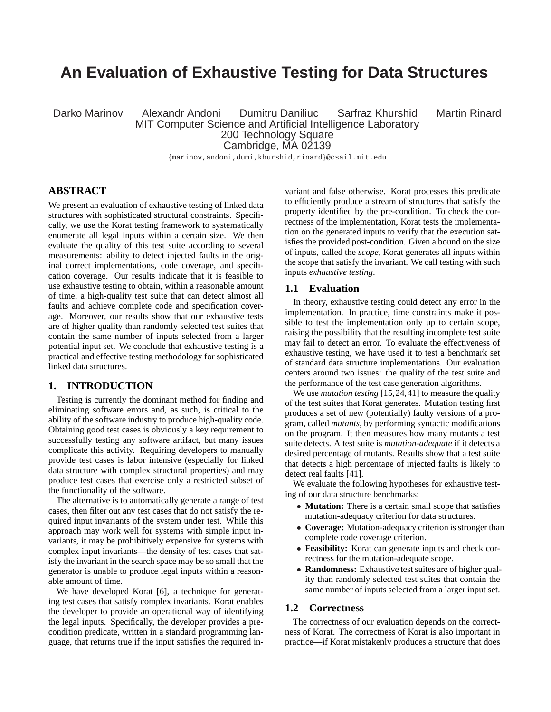# **An Evaluation of Exhaustive Testing for Data Structures**

Darko Marinov Alexandr Andoni Dumitru Daniliuc Sarfraz Khurshid Martin Rinard MIT Computer Science and Artificial Intelligence Laboratory

200 Technology Square

Cambridge, MA 02139

{marinov,andoni,dumi,khurshid,rinard}@csail.mit.edu

# **ABSTRACT**

We present an evaluation of exhaustive testing of linked data structures with sophisticated structural constraints. Specifically, we use the Korat testing framework to systematically enumerate all legal inputs within a certain size. We then evaluate the quality of this test suite according to several measurements: ability to detect injected faults in the original correct implementations, code coverage, and specification coverage. Our results indicate that it is feasible to use exhaustive testing to obtain, within a reasonable amount of time, a high-quality test suite that can detect almost all faults and achieve complete code and specification coverage. Moreover, our results show that our exhaustive tests are of higher quality than randomly selected test suites that contain the same number of inputs selected from a larger potential input set. We conclude that exhaustive testing is a practical and effective testing methodology for sophisticated linked data structures.

#### **1. INTRODUCTION**

Testing is currently the dominant method for finding and eliminating software errors and, as such, is critical to the ability of the software industry to produce high-quality code. Obtaining good test cases is obviously a key requirement to successfully testing any software artifact, but many issues complicate this activity. Requiring developers to manually provide test cases is labor intensive (especially for linked data structure with complex structural properties) and may produce test cases that exercise only a restricted subset of the functionality of the software.

The alternative is to automatically generate a range of test cases, then filter out any test cases that do not satisfy the required input invariants of the system under test. While this approach may work well for systems with simple input invariants, it may be prohibitively expensive for systems with complex input invariants—the density of test cases that satisfy the invariant in the search space may be so small that the generator is unable to produce legal inputs within a reasonable amount of time.

We have developed Korat [6], a technique for generating test cases that satisfy complex invariants. Korat enables the developer to provide an operational way of identifying the legal inputs. Specifically, the developer provides a precondition predicate, written in a standard programming language, that returns true if the input satisfies the required invariant and false otherwise. Korat processes this predicate to efficiently produce a stream of structures that satisfy the property identified by the pre-condition. To check the correctness of the implementation, Korat tests the implementation on the generated inputs to verify that the execution satisfies the provided post-condition. Given a bound on the size of inputs, called the *scope*, Korat generates all inputs within the scope that satisfy the invariant. We call testing with such inputs *exhaustive testing*.

#### **1.1 Evaluation**

In theory, exhaustive testing could detect any error in the implementation. In practice, time constraints make it possible to test the implementation only up to certain scope, raising the possibility that the resulting incomplete test suite may fail to detect an error. To evaluate the effectiveness of exhaustive testing, we have used it to test a benchmark set of standard data structure implementations. Our evaluation centers around two issues: the quality of the test suite and the performance of the test case generation algorithms.

We use *mutation testing* [15,24,41] to measure the quality of the test suites that Korat generates. Mutation testing first produces a set of new (potentially) faulty versions of a program, called *mutants*, by performing syntactic modifications on the program. It then measures how many mutants a test suite detects. A test suite is *mutation-adequate* if it detects a desired percentage of mutants. Results show that a test suite that detects a high percentage of injected faults is likely to detect real faults [41].

We evaluate the following hypotheses for exhaustive testing of our data structure benchmarks:

- **Mutation:** There is a certain small scope that satisfies mutation-adequacy criterion for data structures.
- **Coverage:** Mutation-adequacy criterion is stronger than complete code coverage criterion.
- **Feasibility:** Korat can generate inputs and check correctness for the mutation-adequate scope.
- **Randomness:** Exhaustive test suites are of higher quality than randomly selected test suites that contain the same number of inputs selected from a larger input set.

#### **1.2 Correctness**

The correctness of our evaluation depends on the correctness of Korat. The correctness of Korat is also important in practice—if Korat mistakenly produces a structure that does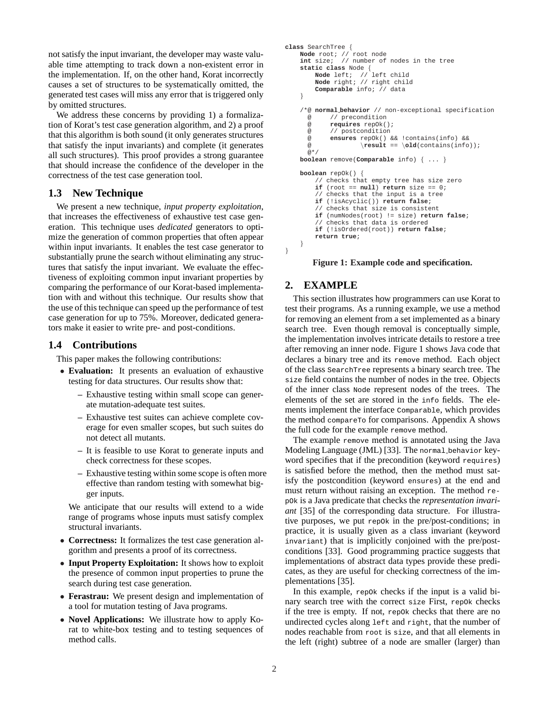not satisfy the input invariant, the developer may waste valuable time attempting to track down a non-existent error in the implementation. If, on the other hand, Korat incorrectly causes a set of structures to be systematically omitted, the generated test cases will miss any error that is triggered only by omitted structures.

We address these concerns by providing 1) a formalization of Korat's test case generation algorithm, and 2) a proof that this algorithm is both sound (it only generates structures that satisfy the input invariants) and complete (it generates all such structures). This proof provides a strong guarantee that should increase the confidence of the developer in the correctness of the test case generation tool.

## **1.3 New Technique**

We present a new technique, *input property exploitation*, that increases the effectiveness of exhaustive test case generation. This technique uses *dedicated* generators to optimize the generation of common properties that often appear within input invariants. It enables the test case generator to substantially prune the search without eliminating any structures that satisfy the input invariant. We evaluate the effectiveness of exploiting common input invariant properties by comparing the performance of our Korat-based implementation with and without this technique. Our results show that the use of this technique can speed up the performance of test case generation for up to 75%. Moreover, dedicated generators make it easier to write pre- and post-conditions.

#### **1.4 Contributions**

This paper makes the following contributions:

- **Evaluation:** It presents an evaluation of exhaustive testing for data structures. Our results show that:
	- **–** Exhaustive testing within small scope can generate mutation-adequate test suites.
	- **–** Exhaustive test suites can achieve complete coverage for even smaller scopes, but such suites do not detect all mutants.
	- **–** It is feasible to use Korat to generate inputs and check correctness for these scopes.
	- **–** Exhaustive testing within some scope is often more effective than random testing with somewhat bigger inputs.

We anticipate that our results will extend to a wide range of programs whose inputs must satisfy complex structural invariants.

- **Correctness:** It formalizes the test case generation algorithm and presents a proof of its correctness.
- **Input Property Exploitation:** It shows how to exploit the presence of common input properties to prune the search during test case generation.
- **Ferastrau:** We present design and implementation of a tool for mutation testing of Java programs.
- **Novel Applications:** We illustrate how to apply Korat to white-box testing and to testing sequences of method calls.

```
class SearchTree {
   Node root; // root node
    int size; // number of nodes in the tree
    static class Node {
       Node left; // left child
        Node right; // right child
        Comparable info; // data
    }
    /*@ normal behavior // non-exceptional specification
     @ // precondition<br>@ requires repOk(
            @ requires repOk();
     @ // postcondition
     @ ensures repOk() && !contains(info) &&
     \circ \result == \old(contains(info));
     @*/
   boolean remove(Comparable info) { ... }
    boolean repOk() {
        // checks that empty tree has size zero
        if (root == null) return size == 0;
        // checks that the input is a tree
        if (!isAcyclic()) return false;
        // checks that size is consistent
        if (numNodes(root) != size) return false;
         // checks that data is ordered
        if (!isOrdered(root)) return false;
        return true;
```
} }

#### **Figure 1: Example code and specification.**

#### **2. EXAMPLE**

This section illustrates how programmers can use Korat to test their programs. As a running example, we use a method for removing an element from a set implemented as a binary search tree. Even though removal is conceptually simple, the implementation involves intricate details to restore a tree after removing an inner node. Figure 1 shows Java code that declares a binary tree and its remove method. Each object of the class SearchTree represents a binary search tree. The size field contains the number of nodes in the tree. Objects of the inner class Node represent nodes of the trees. The elements of the set are stored in the info fields. The elements implement the interface Comparable, which provides the method compareTo for comparisons. Appendix A shows the full code for the example remove method.

The example remove method is annotated using the Java Modeling Language (JML) [33]. The normal behavior keyword specifies that if the precondition (keyword requires) is satisfied before the method, then the method must satisfy the postcondition (keyword ensures) at the end and must return without raising an exception. The method repOk is a Java predicate that checks the *representation invariant* [35] of the corresponding data structure. For illustrative purposes, we put repOk in the pre/post-conditions; in practice, it is usually given as a class invariant (keyword invariant) that is implicitly conjoined with the pre/postconditions [33]. Good programming practice suggests that implementations of abstract data types provide these predicates, as they are useful for checking correctness of the implementations [35].

In this example, repOk checks if the input is a valid binary search tree with the correct size First, repOk checks if the tree is empty. If not, repOk checks that there are no undirected cycles along left and right, that the number of nodes reachable from root is size, and that all elements in the left (right) subtree of a node are smaller (larger) than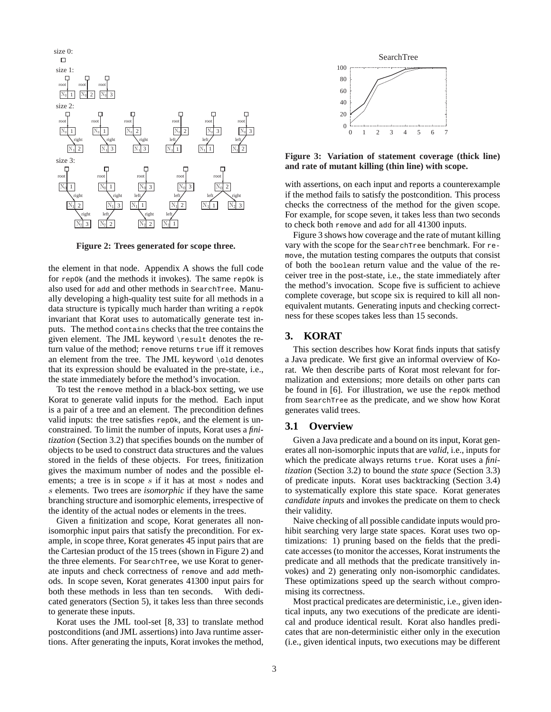

**Figure 2: Trees generated for scope three.**

the element in that node. Appendix A shows the full code for repOk (and the methods it invokes). The same repOk is also used for add and other methods in SearchTree. Manually developing a high-quality test suite for all methods in a data structure is typically much harder than writing a repOk invariant that Korat uses to automatically generate test inputs. The method contains checks that the tree contains the given element. The JML keyword \result denotes the return value of the method; remove returns true iff it removes an element from the tree. The JML keyword \old denotes that its expression should be evaluated in the pre-state, i.e., the state immediately before the method's invocation.

To test the remove method in a black-box setting, we use Korat to generate valid inputs for the method. Each input is a pair of a tree and an element. The precondition defines valid inputs: the tree satisfies repok, and the element is unconstrained. To limit the number of inputs, Korat uses a *finitization* (Section 3.2) that specifies bounds on the number of objects to be used to construct data structures and the values stored in the fields of these objects. For trees, finitization gives the maximum number of nodes and the possible elements; a tree is in scope s if it has at most s nodes and s elements. Two trees are *isomorphic* if they have the same branching structure and isomorphic elements, irrespective of the identity of the actual nodes or elements in the trees.

Given a finitization and scope, Korat generates all nonisomorphic input pairs that satisfy the precondition. For example, in scope three, Korat generates 45 input pairs that are the Cartesian product of the 15 trees (shown in Figure 2) and the three elements. For SearchTree, we use Korat to generate inputs and check correctness of remove and add methods. In scope seven, Korat generates 41300 input pairs for both these methods in less than ten seconds. With dedicated generators (Section 5), it takes less than three seconds to generate these inputs.

Korat uses the JML tool-set [8, 33] to translate method postconditions (and JML assertions) into Java runtime assertions. After generating the inputs, Korat invokes the method,



**Figure 3: Variation of statement coverage (thick line) and rate of mutant killing (thin line) with scope.**

with assertions, on each input and reports a counterexample if the method fails to satisfy the postcondition. This process checks the correctness of the method for the given scope. For example, for scope seven, it takes less than two seconds to check both remove and add for all 41300 inputs.

Figure 3 shows how coverage and the rate of mutant killing vary with the scope for the SearchTree benchmark. For remove, the mutation testing compares the outputs that consist of both the boolean return value and the value of the receiver tree in the post-state, i.e., the state immediately after the method's invocation. Scope five is sufficient to achieve complete coverage, but scope six is required to kill all nonequivalent mutants. Generating inputs and checking correctness for these scopes takes less than 15 seconds.

## **3. KORAT**

This section describes how Korat finds inputs that satisfy a Java predicate. We first give an informal overview of Korat. We then describe parts of Korat most relevant for formalization and extensions; more details on other parts can be found in  $[6]$ . For illustration, we use the repok method from SearchTree as the predicate, and we show how Korat generates valid trees.

#### **3.1 Overview**

Given a Java predicate and a bound on its input, Korat generates all non-isomorphic inputs that are *valid*, i.e., inputs for which the predicate always returns true. Korat uses a *finitization* (Section 3.2) to bound the *state space* (Section 3.3) of predicate inputs. Korat uses backtracking (Section 3.4) to systematically explore this state space. Korat generates *candidate inputs* and invokes the predicate on them to check their validity.

Naive checking of all possible candidate inputs would prohibit searching very large state spaces. Korat uses two optimizations: 1) pruning based on the fields that the predicate accesses (to monitor the accesses, Korat instruments the predicate and all methods that the predicate transitively invokes) and 2) generating only non-isomorphic candidates. These optimizations speed up the search without compromising its correctness.

Most practical predicates are deterministic, i.e., given identical inputs, any two executions of the predicate are identical and produce identical result. Korat also handles predicates that are non-deterministic either only in the execution (i.e., given identical inputs, two executions may be different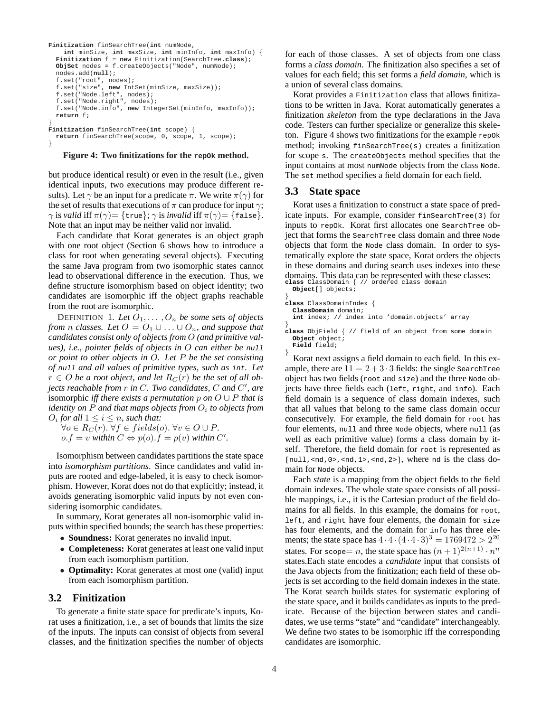```
Finitization finSearchTree(int numNode,
    int minSize, int maxSize, int minInfo, int maxInfo) {
  Finitization f = new Finitization(SearchTree.class);
 ObjSet nodes = f.createObjects("Node", numNode);
 nodes.add(null);
  f.set("root", nodes);
  f.set("size", new IntSet(minSize, maxSize));
  f.set("Node.left", nodes);
f.set("Node.right", nodes);
  f.set("Node.info", new IntegerSet(minInfo, maxInfo));
 return f;
}
Finitization finSearchTree(int scope) {
  return finSearchTree(scope, 0, scope, 1, scope);
}
```
**Figure 4: Two finitizations for the repok method.** 

but produce identical result) or even in the result (i.e., given identical inputs, two executions may produce different results). Let  $\gamma$  be an input for a predicate  $\pi$ . We write  $\pi(\gamma)$  for the set of results that executions of  $\pi$  can produce for input  $\gamma$ ;  $\gamma$  is *valid* iff  $\pi(\gamma) = {\text{true}}; \gamma$  is *invalid* iff  $\pi(\gamma) = {\text{false}}.$ Note that an input may be neither valid nor invalid.

Each candidate that Korat generates is an object graph with one root object (Section 6 shows how to introduce a class for root when generating several objects). Executing the same Java program from two isomorphic states cannot lead to observational difference in the execution. Thus, we define structure isomorphism based on object identity; two candidates are isomorphic iff the object graphs reachable from the root are isomorphic.

DEFINITION 1. Let  $O_1, \ldots, O_n$  be some sets of objects *from n classes.* Let  $O = O_1 \cup \ldots \cup O_n$ *, and suppose that candidates consist only of objects from* O *(and primitive values), i.e., pointer fields of objects in* O *can either be* null *or point to other objects in* O*. Let* P *be the set consisting of* null *and all values of primitive types, such as* int*. Let*  $r \in O$  *be a root object, and let*  $R_C(r)$  *be the set of all objects reachable from* r *in* C*. Two candidates,* C *and* C 0 *, are* isomorphic *iff there exists a permutation* p on  $O \cup P$  *that is* identity on P and that maps objects from  $O_i$  to objects from  $O_i$  for all  $1 \leq i \leq n$ , such that:

 $\forall o \in R_C(r)$ . ∀f ∈ fields(o). ∀v ∈ O ∪ P.  $o.f = v$  *within*  $C \Leftrightarrow p(o) \cdot f = p(v)$  *within*  $C'$ .

Isomorphism between candidates partitions the state space into *isomorphism partitions*. Since candidates and valid inputs are rooted and edge-labeled, it is easy to check isomorphism. However, Korat does not do that explicitly; instead, it avoids generating isomorphic valid inputs by not even considering isomorphic candidates.

In summary, Korat generates all non-isomorphic valid inputs within specified bounds; the search has these properties:

- **Soundness:** Korat generates no invalid input.
- **Completeness:** Korat generates at least one valid input from each isomorphism partition.
- **Optimality:** Korat generates at most one (valid) input from each isomorphism partition.

#### **3.2 Finitization**

To generate a finite state space for predicate's inputs, Korat uses a finitization, i.e., a set of bounds that limits the size of the inputs. The inputs can consist of objects from several classes, and the finitization specifies the number of objects for each of those classes. A set of objects from one class forms a *class domain*. The finitization also specifies a set of values for each field; this set forms a *field domain*, which is a union of several class domains.

Korat provides a Finitization class that allows finitizations to be written in Java. Korat automatically generates a finitization *skeleton* from the type declarations in the Java code. Testers can further specialize or generalize this skeleton. Figure 4 shows two finitizations for the example  $r = p \circ k$ method; invoking finSearchTree(s) creates a finitization for scope s. The createObjects method specifies that the input contains at most numNode objects from the class Node. The set method specifies a field domain for each field.

#### **3.3 State space**

Korat uses a finitization to construct a state space of predicate inputs. For example, consider finSearchTree(3) for inputs to repOk. Korat first allocates one SearchTree object that forms the SearchTree class domain and three Node objects that form the Node class domain. In order to systematically explore the state space, Korat orders the objects in these domains and during search uses indexes into these domains. This data can be represented with these classes: **class** ClassDomain { // ordered class domain **Object**[] objects;

| Object[] objects |  |
|------------------|--|
|------------------|--|

```
}
class ClassDomainIndex {
```
**ClassDomain** domain;

**int** index; // index into 'domain.objects' array

**class** ObjField { // field of an object from some domain **Object** object;

**Field** field;

}

}

Korat next assigns a field domain to each field. In this example, there are  $11 = 2 + 3 \cdot 3$  fields: the single SearchTree object has two fields (root and size) and the three Node objects have three fields each (left, right, and info). Each field domain is a sequence of class domain indexes, such that all values that belong to the same class domain occur consecutively. For example, the field domain for root has four elements, null and three Node objects, where null (as well as each primitive value) forms a class domain by itself. Therefore, the field domain for root is represented as [null, <nd, 0>, <nd, 1>, <nd, 2>], where nd is the class domain for Node objects.

Each *state* is a mapping from the object fields to the field domain indexes. The whole state space consists of all possible mappings, i.e., it is the Cartesian product of the field domains for all fields. In this example, the domains for root, left, and right have four elements, the domain for size has four elements, and the domain for info has three elements; the state space has  $4 \cdot 4 \cdot (4 \cdot 4 \cdot 3)^3 = 1769472 > 2^{20}$ states. For scope= *n*, the state space has  $(n+1)^{2(n+1)} \cdot n^n$ states.Each state encodes a *candidate* input that consists of the Java objects from the finitization; each field of these objects is set according to the field domain indexes in the state. The Korat search builds states for systematic exploring of the state space, and it builds candidates as inputs to the predicate. Because of the bijection between states and candidates, we use terms "state" and "candidate" interchangeably. We define two states to be isomorphic iff the corresponding candidates are isomorphic.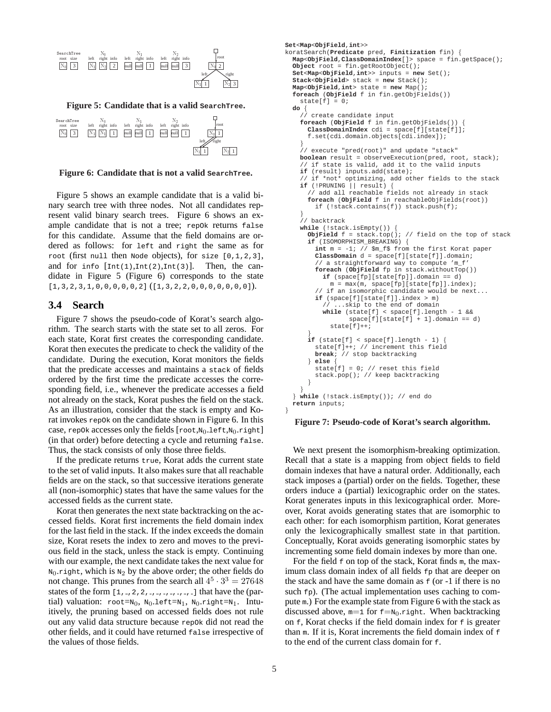

**Figure 6: Candidate that is not a valid SearchTree.**

Figure 5 shows an example candidate that is a valid binary search tree with three nodes. Not all candidates represent valid binary search trees. Figure 6 shows an example candidate that is not a tree; repOk returns false for this candidate. Assume that the field domains are ordered as follows: for left and right the same as for root (first null then Node objects), for size [0,1,2,3], and for info  $[\text{Int}(1),\text{Int}(2),\text{Int}(3)]$ . Then, the candidate in Figure 5 (Figure 6) corresponds to the state  $[1,3,2,3,1,0,0,0,0,0,2]$   $([1,3,2,2,0,0,0,0,0,0,0]).$ 

#### **3.4 Search**

Figure 7 shows the pseudo-code of Korat's search algorithm. The search starts with the state set to all zeros. For each state, Korat first creates the corresponding candidate. Korat then executes the predicate to check the validity of the candidate. During the execution, Korat monitors the fields that the predicate accesses and maintains a stack of fields ordered by the first time the predicate accesses the corresponding field, i.e., whenever the predicate accesses a field not already on the stack, Korat pushes the field on the stack. As an illustration, consider that the stack is empty and Korat invokes repOk on the candidate shown in Figure 6. In this case, repOk accesses only the fields  $[root, N_0.left, N_0.right]$ (in that order) before detecting a cycle and returning false. Thus, the stack consists of only those three fields.

If the predicate returns true, Korat adds the current state to the set of valid inputs. It also makes sure that all reachable fields are on the stack, so that successive iterations generate all (non-isomorphic) states that have the same values for the accessed fields as the current state.

Korat then generates the next state backtracking on the accessed fields. Korat first increments the field domain index for the last field in the stack. If the index exceeds the domain size, Korat resets the index to zero and moves to the previous field in the stack, unless the stack is empty. Continuing with our example, the next candidate takes the next value for  $N_0$  right, which is  $N_2$  by the above order; the other fields do not change. This prunes from the search all  $4^5 \cdot 3^3 = 27648$ states of the form [1, ,2,2, , , , , , , ] that have the (partial) valuation:  $root = N_0$ ,  $N_0$ .left= $N_1$ ,  $N_0$ .right= $N_1$ . Intuitively, the pruning based on accessed fields does not rule out any valid data structure because repOk did not read the other fields, and it could have returned false irrespective of the values of those fields.

```
Object root = fin.getRootObject();
Set<Map<ObjField,int>> inputs = new Set();
Stack<ObjField> stack = new Stack();
Map<ObjField,int> state = new Map();
foreach (ObjField f in fin.getObjFields())
  state[f] = 0;do {
     create candidate input
  foreach (ObjField f in fin.getObjFields()) {
    ClassDomainIndex cdi = space[f][state[f]];
    f.set(cdi.domain.objects[cdi.index]);
  }
  // execute "pred(root)" and update "stack"
  boolean result = observeExecution(pred, root, stack);
  // if state is valid, add it to the valid inputs
  if (result) inputs.add(state);
// if *not* optimizing, add other fields to the stack
  if (!PRUNING || result) {
    // add all reachable fields not already in stack
    foreach (ObjField f in reachableObjFields(root))
      if (!stack.contains(f)) stack.push(f);
  }
  ,<br>// backtrack
  while (!stack.isEmpty()) {
    ObjField f = stack,top(); // field on the top of stack
    if (ISOMORPHISM_BREAKING) {
      int m = -1; // $m_f$ from the first Korat paper
      ClassDomain d = space[f][state[f]].domain;
       // a straightforward way to compute 'm_f'
      foreach (ObjField fp in stack.withoutTop())
        if (space[fp][state[fp]].domain == d)
          m = max(m, space[fp][state[fp]].index);
      // if an isomorphic candidate would be next...
      if (space[f][state[f]].index > m)
           ...skip to the end of domain
        while (state[f] < space[f].length - 1 &&
                space[f][state[f] + 1].domain == d)
          state[f]++;
    }
if (state[f] < space[f].length - 1) {
      state[f]++; // increment this field
      break; // stop backtracking
    } else {
      state[f] = 0; // reset this field
      stack.pop(); // keep backtracking
    }
  }
} while (!stack.isEmpty()); // end do
return inputs;
```
**Set**<**Map**<**ObjField**,**int**>>

koratSearch(**Predicate** pred, **Finitization** fin) {

**Map**<**ObjField**,**ClassDomainIndex**[]> space = fin.getSpace();

#### **Figure 7: Pseudo-code of Korat's search algorithm.**

We next present the isomorphism-breaking optimization. Recall that a state is a mapping from object fields to field domain indexes that have a natural order. Additionally, each stack imposes a (partial) order on the fields. Together, these orders induce a (partial) lexicographic order on the states. Korat generates inputs in this lexicographical order. Moreover, Korat avoids generating states that are isomorphic to each other: for each isomorphism partition, Korat generates only the lexicographically smallest state in that partition. Conceptually, Korat avoids generating isomorphic states by incrementing some field domain indexes by more than one.

For the field  $\epsilon$  on top of the stack, Korat finds m, the maximum class domain index of all fields  $f<sub>p</sub>$  that are deeper on the stack and have the same domain as  $f$  (or  $-1$  if there is no such  $fp$ ). (The actual implementation uses caching to compute m.) For the example state from Figure 6 with the stack as discussed above,  $m=1$  for  $f=N_0.r$ ight. When backtracking on  $f$ , Korat checks if the field domain index for  $f$  is greater than  $m$ . If it is, Korat increments the field domain index of  $f$ to the end of the current class domain for f.

}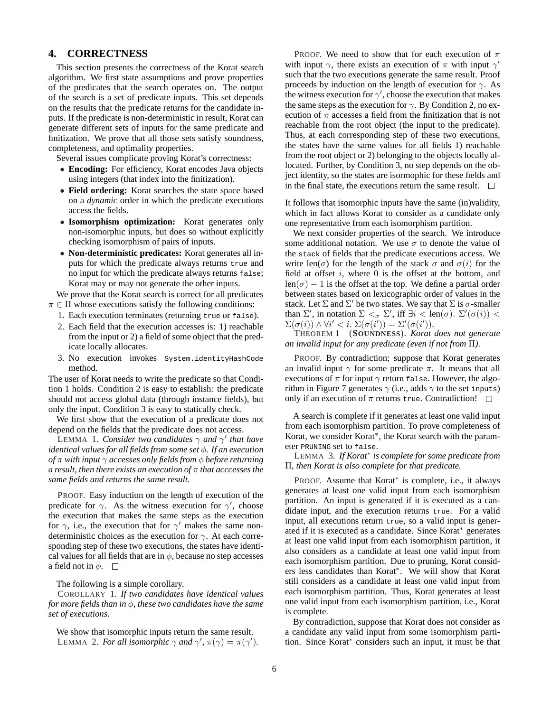## **4. CORRECTNESS**

This section presents the correctness of the Korat search algorithm. We first state assumptions and prove properties of the predicates that the search operates on. The output of the search is a set of predicate inputs. This set depends on the results that the predicate returns for the candidate inputs. If the predicate is non-deterministic in result, Korat can generate different sets of inputs for the same predicate and finitization. We prove that all those sets satisfy soundness, completeness, and optimality properties.

Several issues complicate proving Korat's correctness:

- **Encoding:** For efficiency, Korat encodes Java objects using integers (that index into the finitization).
- **Field ordering:** Korat searches the state space based on a *dynamic* order in which the predicate executions access the fields.
- **Isomorphism optimization:** Korat generates only non-isomorphic inputs, but does so without explicitly checking isomorphism of pairs of inputs.
- **Non-deterministic predicates:** Korat generates all inputs for which the predicate always returns true and no input for which the predicate always returns false; Korat may or may not generate the other inputs.

We prove that the Korat search is correct for all predicates  $\pi \in \Pi$  whose executions satisfy the following conditions:

- 1. Each execution terminates (returning true or false).
- 2. Each field that the execution accesses is: 1) reachable from the input or 2) a field of some object that the predicate locally allocates.
- 3. No execution invokes System.identityHashCode method.

The user of Korat needs to write the predicate so that Condition 1 holds. Condition 2 is easy to establish: the predicate should not access global data (through instance fields), but only the input. Condition 3 is easy to statically check.

We first show that the execution of a predicate does not depend on the fields that the predicate does not access.

LEMMA 1. *Consider two candidates*  $\gamma$  *and*  $\gamma'$  *that have identical values for all fields from some set* φ*. If an execution of* π *with input* γ *accesses only fields from* φ *before returning a result, then there exists an execution of* π *that acccesses the same fields and returns the same result.*

PROOF. Easy induction on the length of execution of the predicate for  $\gamma$ . As the witness execution for  $\gamma'$ , choose the execution that makes the same steps as the execution for  $\gamma$ , i.e., the execution that for  $\gamma'$  makes the same nondeterministic choices as the execution for  $\gamma$ . At each corresponding step of these two executions, the states have identical values for all fields that are in  $\phi$ , because no step accesses a field not in  $\phi$ .  $\Box$ 

The following is a simple corollary.

COROLLARY 1. *If two candidates have identical values for more fields than in* φ*, these two candidates have the same set of executions.*

We show that isomorphic inputs return the same result. LEMMA 2. *For all isomorphic*  $\gamma$  *and*  $\gamma'$ ,  $\pi(\gamma) = \pi(\gamma')$ .

PROOF. We need to show that for each execution of  $\pi$ with input  $\gamma$ , there exists an execution of  $\pi$  with input  $\gamma'$ such that the two executions generate the same result. Proof proceeds by induction on the length of execution for  $\gamma$ . As the witness execution for  $\gamma'$ , choose the execution that makes the same steps as the execution for  $\gamma$ . By Condition 2, no execution of  $\pi$  accesses a field from the finitization that is not reachable from the root object (the input to the predicate). Thus, at each corresponding step of these two executions, the states have the same values for all fields 1) reachable from the root object or 2) belonging to the objects locally allocated. Further, by Condition 3, no step depends on the object identity, so the states are isormophic for these fields and in the final state, the executions return the same result.  $\Box$ 

It follows that isomorphic inputs have the same (in)validity, which in fact allows Korat to consider as a candidate only one representative from each isomorphism partition.

We next consider properties of the search. We introduce some additional notation. We use  $\sigma$  to denote the value of the stack of fields that the predicate executions access. We write len( $\sigma$ ) for the length of the stack  $\sigma$  and  $\sigma(i)$  for the field at offset  $i$ , where  $0$  is the offset at the bottom, and  $len(\sigma) - 1$  is the offset at the top. We define a partial order between states based on lexicographic order of values in the stack. Let  $\Sigma$  and  $\Sigma'$  be two states. We say that  $\Sigma$  is  $\sigma$ -smaller than  $\Sigma'$ , in notation  $\Sigma <_{\sigma} \Sigma'$ , iff  $\exists i < \text{len}(\sigma)$ .  $\Sigma'(\sigma(i)) <$  $\Sigma(\sigma(i)) \wedge \forall i' < i$ .  $\Sigma(\sigma(i')) = \Sigma'(\sigma(i')).$ 

THEOREM 1 (**SOUNDNESS**). *Korat does not generate an invalid input for any predicate (even if not from* Π*).*

PROOF. By contradiction; suppose that Korat generates an invalid input  $\gamma$  for some predicate  $\pi$ . It means that all executions of  $\pi$  for input  $\gamma$  return false. However, the algorithm in Figure 7 generates  $\gamma$  (i.e., adds  $\gamma$  to the set inputs) only if an execution of  $\pi$  returns true. Contradiction!  $\Box$ 

A search is complete if it generates at least one valid input from each isomorphism partition. To prove completeness of Korat, we consider Korat<sup>∗</sup> , the Korat search with the parameter PRUNING set to false.

LEMMA 3. *If Korat*<sup>∗</sup> *is complete for some predicate from* Π*, then Korat is also complete for that predicate.*

PROOF. Assume that Korat<sup>∗</sup> is complete, i.e., it always generates at least one valid input from each isomorphism partition. An input is generated if it is executed as a candidate input, and the execution returns true. For a valid input, all executions return true, so a valid input is generated if it is executed as a candidate. Since Korat<sup>∗</sup> generates at least one valid input from each isomorphism partition, it also considers as a candidate at least one valid input from each isomorphism partition. Due to pruning, Korat considers less candidates than Korat<sup>∗</sup> . We will show that Korat still considers as a candidate at least one valid input from each isomorphism partition. Thus, Korat generates at least one valid input from each isomorphism partition, i.e., Korat is complete.

By contradiction, suppose that Korat does not consider as a candidate any valid input from some isomorphism partition. Since Korat<sup>∗</sup> considers such an input, it must be that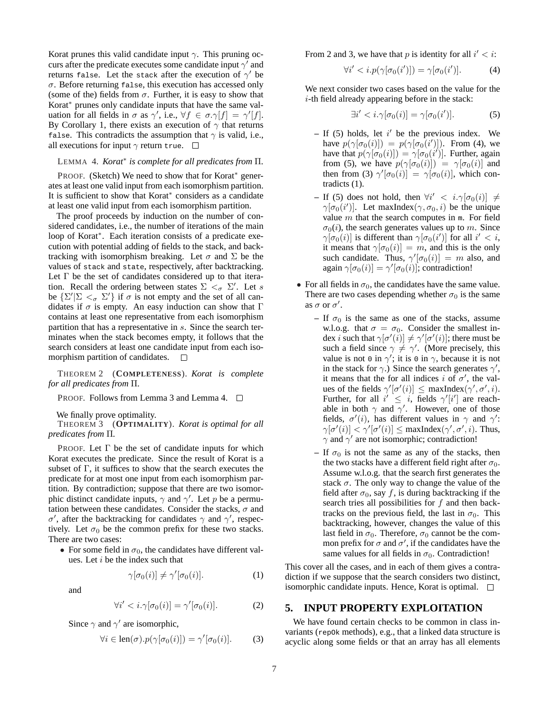Korat prunes this valid candidate input  $\gamma$ . This pruning occurs after the predicate executes some candidate input  $\gamma'$  and returns false. Let the stack after the execution of  $\gamma'$  be  $\sigma$ . Before returning false, this execution has accessed only (some of the) fields from  $\sigma$ . Further, it is easy to show that Korat<sup>∗</sup> prunes only candidate inputs that have the same valuation for all fields in  $\sigma$  as  $\gamma'$ , i.e.,  $\forall f \in \sigma \cdot \gamma[f] = \gamma'[f].$ By Corollary 1, there exists an execution of  $\gamma$  that returns false. This contradicts the assumption that  $\gamma$  is valid, i.e., all executions for input  $\gamma$  return true.  $\Box$ 

## LEMMA 4. *Korat*<sup>∗</sup> *is complete for all predicates from* Π*.*

PROOF. (Sketch) We need to show that for Korat<sup>∗</sup> generates at least one valid input from each isomorphism partition. It is sufficient to show that Korat<sup>∗</sup> considers as a candidate at least one valid input from each isomorphism partition.

The proof proceeds by induction on the number of considered candidates, i.e., the number of iterations of the main loop of Korat<sup>∗</sup> . Each iteration consists of a predicate execution with potential adding of fields to the stack, and backtracking with isomorphism breaking. Let  $\sigma$  and  $\Sigma$  be the values of stack and state, respectively, after backtracking. Let  $\Gamma$  be the set of candidates considered up to that iteration. Recall the ordering between states  $\sum \tilde{z}_{\sigma} \Sigma'$ . Let s be  $\{\Sigma' | \Sigma <_{\sigma} \Sigma'\}$  if  $\sigma$  is not empty and the set of all candidates if  $\sigma$  is empty. An easy induction can show that  $\Gamma$ contains at least one representative from each isomorphism partition that has a representative in s. Since the search terminates when the stack becomes empty, it follows that the search considers at least one candidate input from each isomorphism partition of candidates.  $\square$ 

THEOREM 2 (**COMPLETENESS**). *Korat is complete for all predicates from* Π*.*

PROOF. Follows from Lemma 3 and Lemma 4.  $\square$ 

We finally prove optimality.

THEOREM 3 (**OPTIMALITY**). *Korat is optimal for all predicates from* Π*.*

PROOF. Let  $\Gamma$  be the set of candidate inputs for which Korat executes the predicate. Since the result of Korat is a subset of Γ, it suffices to show that the search executes the predicate for at most one input from each isomorphism partition. By contradiction; suppose that there are two isomorphic distinct candidate inputs,  $\gamma$  and  $\gamma'$ . Let p be a permutation between these candidates. Consider the stacks,  $\sigma$  and σ', after the backtracking for candidates  $\gamma$  and  $\gamma'$ , respectively. Let  $\sigma_0$  be the common prefix for these two stacks. There are two cases:

• For some field in  $\sigma_0$ , the candidates have different values. Let  $i$  be the index such that

$$
\gamma[\sigma_0(i)] \neq \gamma'[\sigma_0(i)]. \tag{1}
$$

and

$$
\forall i' < i. \gamma[\sigma_0(i)] = \gamma'[\sigma_0(i)]. \tag{2}
$$

Since  $\gamma$  and  $\gamma'$  are isomorphic,

$$
\forall i \in \text{len}(\sigma).p(\gamma[\sigma_0(i)]) = \gamma'[\sigma_0(i)]. \tag{3}
$$

From 2 and 3, we have that p is identity for all  $i' < i$ :

$$
\forall i' < i. p(\gamma[\sigma_0(i')]) = \gamma[\sigma_0(i')]. \tag{4}
$$

We next consider two cases based on the value for the i-th field already appearing before in the stack:

$$
\exists i' < i. \gamma[\sigma_0(i)] = \gamma[\sigma_0(i')]. \tag{5}
$$

- $-$  If (5) holds, let  $i'$  be the previous index. We have  $p(\gamma[\sigma_0(i)]) = p(\gamma[\sigma_0(i')])$ . From (4), we have that  $p(\gamma[\sigma_0(i)]) = \gamma[\sigma_0(i')]$ . Further, again from (5), we have  $p(\gamma[\sigma_0(i)]) = \gamma[\sigma_0(i)]$  and then from (3)  $\gamma'[\sigma_0(i)] = \gamma[\sigma_0(i)]$ , which contradicts (1).
- **–** If (5) does not hold, then  $\forall i' < i. \gamma[\sigma_0(i)] \neq$  $\gamma[\sigma_0(i')]$ . Let maxIndex $(\gamma, \sigma_0, i)$  be the unique value m that the search computes in  $m$ . For field  $\sigma_0(i)$ , the search generates values up to m. Since  $\gamma[\sigma_0(i)]$  is different than  $\gamma[\sigma_0(i')]$  for all  $i' < i$ , it means that  $\gamma[\sigma_0(i)] = m$ , and this is the only such candidate. Thus,  $\gamma'[\sigma_0(i)] = m$  also, and again  $\gamma[\sigma_0(i)] = \gamma'[\sigma_0(i)]$ ; contradiction!
- For all fields in  $\sigma_0$ , the candidates have the same value. There are two cases depending whether  $\sigma_0$  is the same as  $\sigma$  or  $\sigma'$ .
	- $-$  If  $\sigma_0$  is the same as one of the stacks, assume w.l.o.g. that  $\sigma = \sigma_0$ . Consider the smallest index *i* such that  $\gamma[\sigma'(i)] \neq \gamma'[\sigma'(i)]$ ; there must be such a field since  $\gamma \neq \gamma'$ . (More precisely, this value is not 0 in  $\gamma'$ ; it is 0 in  $\gamma$ , because it is not in the stack for  $\gamma$ .) Since the search generates  $\gamma'$ , it means that the for all indices i of  $\sigma'$ , the values of the fields  $\gamma'[\sigma'(i)] \leq \maxIndex(\gamma', \sigma', i)$ . Further, for all  $i' \leq i$ , fields  $\gamma'[i']$  are reachable in both  $\gamma$  and  $\gamma'$ . However, one of those fields,  $\sigma'(i)$ , has different values in  $\gamma$  and  $\gamma'$ :  $\gamma[\sigma'(i)] < \gamma'[\sigma'(i)] \leq \text{maxIndex}(\gamma', \sigma', i)$ . Thus,  $\gamma$  and  $\gamma'$  are not isomorphic; contradiction!
	- $-$  If  $\sigma_0$  is not the same as any of the stacks, then the two stacks have a different field right after  $\sigma_0$ . Assume w.l.o.g. that the search first generates the stack  $\sigma$ . The only way to change the value of the field after  $\sigma_0$ , say f, is during backtracking if the search tries all possibilities for  $f$  and then backtracks on the previous field, the last in  $\sigma_0$ . This backtracking, however, changes the value of this last field in  $\sigma_0$ . Therefore,  $\sigma_0$  cannot be the common prefix for  $\sigma$  and  $\sigma'$ , if the candidates have the same values for all fields in  $\sigma_0$ . Contradiction!

This cover all the cases, and in each of them gives a contradiction if we suppose that the search considers two distinct, isomorphic candidate inputs. Hence, Korat is optimal.

## **5. INPUT PROPERTY EXPLOITATION**

We have found certain checks to be common in class invariants (repOk methods), e.g., that a linked data structure is acyclic along some fields or that an array has all elements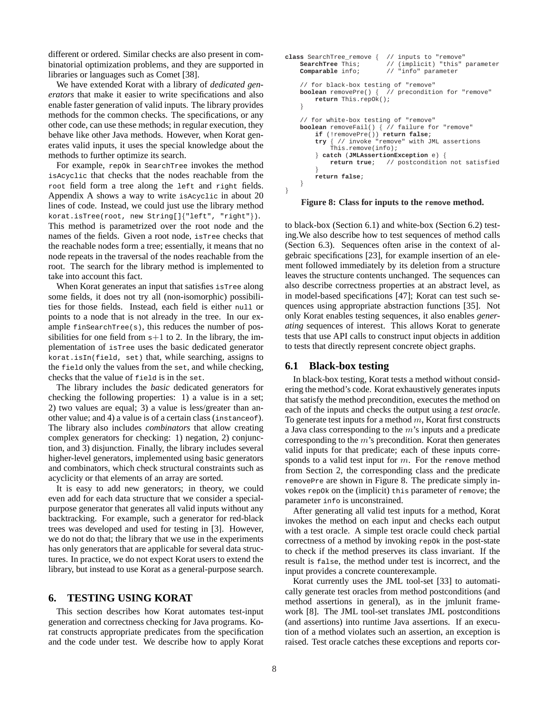different or ordered. Similar checks are also present in combinatorial optimization problems, and they are supported in libraries or languages such as Comet [38].

We have extended Korat with a library of *dedicated generators* that make it easier to write specifications and also enable faster generation of valid inputs. The library provides methods for the common checks. The specifications, or any other code, can use these methods; in regular execution, they behave like other Java methods. However, when Korat generates valid inputs, it uses the special knowledge about the methods to further optimize its search.

For example, repOk in SearchTree invokes the method isAcyclic that checks that the nodes reachable from the root field form a tree along the left and right fields. Appendix A shows a way to write isAcyclic in about 20 lines of code. Instead, we could just use the library method korat.isTree(root, new String[]{"left", "right"}). This method is parametrized over the root node and the names of the fields. Given a root node, isTree checks that the reachable nodes form a tree; essentially, it means that no node repeats in the traversal of the nodes reachable from the root. The search for the library method is implemented to take into account this fact.

When Korat generates an input that satisfies isTree along some fields, it does not try all (non-isomorphic) possibilities for those fields. Instead, each field is either null or points to a node that is not already in the tree. In our example  $f$ inSearchTree(s), this reduces the number of possibilities for one field from  $s+1$  to 2. In the library, the implementation of isTree uses the basic dedicated generator korat.isIn(field, set) that, while searching, assigns to the field only the values from the set, and while checking, checks that the value of field is in the set.

The library includes the *basic* dedicated generators for checking the following properties: 1) a value is in a set; 2) two values are equal; 3) a value is less/greater than another value; and 4) a value is of a certain class (instanceof). The library also includes *combinators* that allow creating complex generators for checking: 1) negation, 2) conjunction, and 3) disjunction. Finally, the library includes several higher-level generators, implemented using basic generators and combinators, which check structural constraints such as acyclicity or that elements of an array are sorted.

It is easy to add new generators; in theory, we could even add for each data structure that we consider a specialpurpose generator that generates all valid inputs without any backtracking. For example, such a generator for red-black trees was developed and used for testing in [3]. However, we do not do that; the library that we use in the experiments has only generators that are applicable for several data structures. In practice, we do not expect Korat users to extend the library, but instead to use Korat as a general-purpose search.

#### **6. TESTING USING KORAT**

This section describes how Korat automates test-input generation and correctness checking for Java programs. Korat constructs appropriate predicates from the specification and the code under test. We describe how to apply Korat

```
class SearchTree_remove { // inputs to "remove<br>SearchTree This: // (implicit) "this"
    SearchTree This; <br>
Comparable info; <br>
// "info" parameter
                               Comparable info; // "info" parameter
     // for black-box testing of "remove"
    boolean removePre() { // precondition for "remove"
         return This.repOk();
     }
    // for white-box testing of "remove"
    boolean removeFail() { // failure for "remove"
         if (!removePre()) return false;
         try { // invoke "remove" with JML assertions
              This.remove(info);
         } catch (JMLAssertionException e) {
             return true; // postcondition not satisfied
         }
         return false;
    }
}
```
**Figure 8: Class for inputs to the remove method.**

to black-box (Section 6.1) and white-box (Section 6.2) testing.We also describe how to test sequences of method calls (Section 6.3). Sequences often arise in the context of algebraic specifications [23], for example insertion of an element followed immediately by its deletion from a structure leaves the structure contents unchanged. The sequences can also describe correctness properties at an abstract level, as in model-based specifications [47]; Korat can test such sequences using appropriate abstraction functions [35]. Not only Korat enables testing sequences, it also enables *generating* sequences of interest. This allows Korat to generate tests that use API calls to construct input objects in addition to tests that directly represent concrete object graphs.

#### **6.1 Black-box testing**

In black-box testing, Korat tests a method without considering the method's code. Korat exhaustively generates inputs that satisfy the method precondition, executes the method on each of the inputs and checks the output using a *test oracle*. To generate test inputs for a method  $m$ , Korat first constructs a Java class corresponding to the m's inputs and a predicate corresponding to the  $m$ 's precondition. Korat then generates valid inputs for that predicate; each of these inputs corresponds to a valid test input for  $m$ . For the remove method from Section 2, the corresponding class and the predicate removePre are shown in Figure 8. The predicate simply invokes repOk on the (implicit) this parameter of remove; the parameter info is unconstrained.

After generating all valid test inputs for a method, Korat invokes the method on each input and checks each output with a test oracle. A simple test oracle could check partial correctness of a method by invoking repOk in the post-state to check if the method preserves its class invariant. If the result is false, the method under test is incorrect, and the input provides a concrete counterexample.

Korat currently uses the JML tool-set [33] to automatically generate test oracles from method postconditions (and method assertions in general), as in the jmlunit framework [8]. The JML tool-set translates JML postconditions (and assertions) into runtime Java assertions. If an execution of a method violates such an assertion, an exception is raised. Test oracle catches these exceptions and reports cor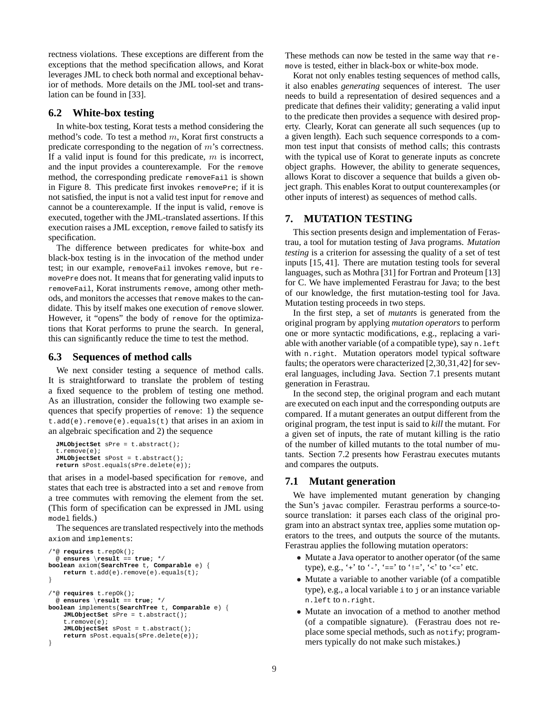rectness violations. These exceptions are different from the exceptions that the method specification allows, and Korat leverages JML to check both normal and exceptional behavior of methods. More details on the JML tool-set and translation can be found in [33].

## **6.2 White-box testing**

In white-box testing, Korat tests a method considering the method's code. To test a method  $m$ , Korat first constructs a predicate corresponding to the negation of m's correctness. If a valid input is found for this predicate,  $m$  is incorrect, and the input provides a counterexample. For the remove method, the corresponding predicate removeFail is shown in Figure 8. This predicate first invokes removePre; if it is not satisfied, the input is not a valid test input for remove and cannot be a counterexample. If the input is valid, remove is executed, together with the JML-translated assertions. If this execution raises a JML exception, remove failed to satisfy its specification.

The difference between predicates for white-box and black-box testing is in the invocation of the method under test; in our example, removeFail invokes remove, but removePre does not. It means that for generating valid inputs to removeFail, Korat instruments remove, among other methods, and monitors the accesses that remove makes to the candidate. This by itself makes one execution of remove slower. However, it "opens" the body of remove for the optimizations that Korat performs to prune the search. In general, this can significantly reduce the time to test the method.

#### **6.3 Sequences of method calls**

We next consider testing a sequence of method calls. It is straightforward to translate the problem of testing a fixed sequence to the problem of testing one method. As an illustration, consider the following two example sequences that specify properties of remove: 1) the sequence  $t.add(e)$ . remove $(e)$ . equals $(t)$  that arises in an axiom in an algebraic specification and 2) the sequence

```
JMLObjectSet sPre = t.abstract();
t.remove(e);
JMLObjectSet sPost = t.abstract();
return sPost.equals(sPre.delete(e));
```
that arises in a model-based specification for remove, and states that each tree is abstracted into a set and remove from a tree commutes with removing the element from the set. (This form of specification can be expressed in JML using model fields.)

The sequences are translated respectively into the methods axiom and implements:

```
/*@ requires t.repOk();
 @ ensures \result == true; */
boolean axiom(SearchTree t, Comparable e) {
    return t.add(e).remove(e).equals(t);
}
/*@ requires t.repOk();
 @ ensures \result == true; */
boolean implements(SearchTree t, Comparable e) {
   JMLObjectSet sPre = t.abstract();
    t.remove(e);
   JMLObjectSet sPost = t.abstract();
    return sPost.equals(sPre.delete(e));
}
```
These methods can now be tested in the same way that remove is tested, either in black-box or white-box mode.

Korat not only enables testing sequences of method calls, it also enables *generating* sequences of interest. The user needs to build a representation of desired sequences and a predicate that defines their validity; generating a valid input to the predicate then provides a sequence with desired property. Clearly, Korat can generate all such sequences (up to a given length). Each such sequence corresponds to a common test input that consists of method calls; this contrasts with the typical use of Korat to generate inputs as concrete object graphs. However, the ability to generate sequences, allows Korat to discover a sequence that builds a given object graph. This enables Korat to output counterexamples (or other inputs of interest) as sequences of method calls.

## **7. MUTATION TESTING**

This section presents design and implementation of Ferastrau, a tool for mutation testing of Java programs. *Mutation testing* is a criterion for assessing the quality of a set of test inputs [15, 41]. There are mutation testing tools for several languages, such as Mothra [31] for Fortran and Proteum [13] for C. We have implemented Ferastrau for Java; to the best of our knowledge, the first mutation-testing tool for Java. Mutation testing proceeds in two steps.

In the first step, a set of *mutant*s is generated from the original program by applying *mutation operators* to perform one or more syntactic modifications, e.g., replacing a variable with another variable (of a compatible type), say  $n$ . Left with n.right. Mutation operators model typical software faults; the operators were characterized [2,30,31,42] for several languages, including Java. Section 7.1 presents mutant generation in Ferastrau.

In the second step, the original program and each mutant are executed on each input and the corresponding outputs are compared. If a mutant generates an output different from the original program, the test input is said to *kill* the mutant. For a given set of inputs, the rate of mutant killing is the ratio of the number of killed mutants to the total number of mutants. Section 7.2 presents how Ferastrau executes mutants and compares the outputs.

#### **7.1 Mutant generation**

We have implemented mutant generation by changing the Sun's javac compiler. Ferastrau performs a source-tosource translation: it parses each class of the original program into an abstract syntax tree, applies some mutation operators to the trees, and outputs the source of the mutants. Ferastrau applies the following mutation operators:

- Mutate a Java operator to another operator (of the same type), e.g., '+' to '-', '==' to '!=', '<' to '<=' etc.
- Mutate a variable to another variable (of a compatible type), e.g., a local variable i to j or an instance variable n.left to n.right.
- Mutate an invocation of a method to another method (of a compatible signature). (Ferastrau does not replace some special methods, such as notify; programmers typically do not make such mistakes.)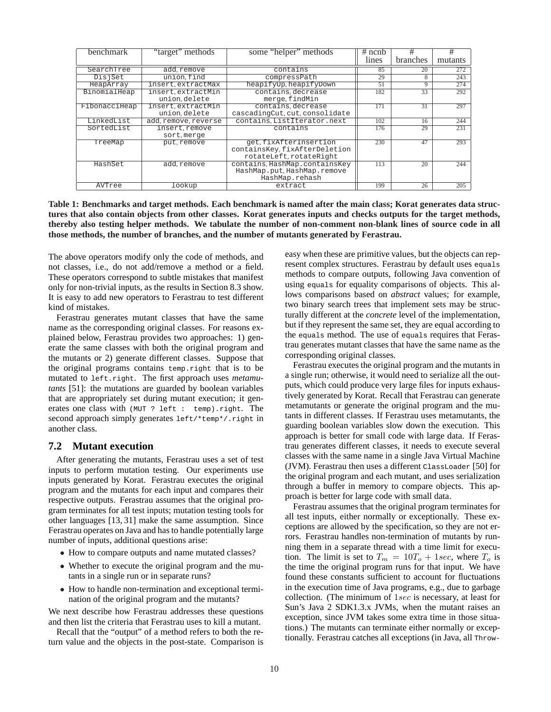| benchmark     | "target" methods     | some "helper" methods         | $#$ ncnb | #               | #       |
|---------------|----------------------|-------------------------------|----------|-----------------|---------|
|               |                      |                               | lines    | <b>branches</b> | mutants |
| SearchTree    | add remove           | contains                      | 85       | 20              | 272     |
| DisjSet       | union find           | compressPath                  | 29       | 8               | 243     |
| HeapArray     | insert.extractMax    | heapifyUp, heapifyDown        | 51       | 9               | 274     |
| BinomialHeap  | insert.extractMin    | contains, decrease            | 182      | 33              | 292     |
|               | union delete         | merge, findMin                |          |                 |         |
| FibonacciHeap | insert.extractMin    | contains, decrease            | 171      | $\overline{31}$ | 297     |
|               | union.delete         | cascadingCut.cut.consolidate  |          |                 |         |
| LinkedList    | add, remove, reverse | contains, ListIterator.next   | 102      | 16              | 244     |
| SortedList    | insert.remove        | contains                      | 176      | 29              | 231     |
|               | sort.merge           |                               |          |                 |         |
| TreeMap       | put.remove           | get.fixAfterInsertion         | 230      | 47              | 293     |
|               |                      | containsKey, fixAfterDeletion |          |                 |         |
|               |                      | rotateLeft.rotateRight        |          |                 |         |
| HashSet       | add, remove          | contains, HashMap.containsKey | 113      | $\overline{20}$ | 244     |
|               |                      | HashMap.put.HashMap.remove    |          |                 |         |
|               |                      | HashMap.rehash                |          |                 |         |
| AVTree        | lookup               | extract                       | 199      | 26              | 205     |

**Table 1: Benchmarks and target methods. Each benchmark is named after the main class; Korat generates data structures that also contain objects from other classes. Korat generates inputs and checks outputs for the target methods, thereby also testing helper methods. We tabulate the number of non-comment non-blank lines of source code in all those methods, the number of branches, and the number of mutants generated by Ferastrau.**

The above operators modify only the code of methods, and not classes, i.e., do not add/remove a method or a field. These operators correspond to subtle mistakes that manifest only for non-trivial inputs, as the results in Section 8.3 show. It is easy to add new operators to Ferastrau to test different kind of mistakes.

Ferastrau generates mutant classes that have the same name as the corresponding original classes. For reasons explained below, Ferastrau provides two approaches: 1) generate the same classes with both the original program and the mutants or 2) generate different classes. Suppose that the original programs contains temp.right that is to be mutated to left.right. The first approach uses *metamutants* [51]: the mutations are guarded by boolean variables that are appropriately set during mutant execution; it generates one class with (MUT ? left : temp).right. The second approach simply generates left/\*temp\*/.right in another class.

#### **7.2 Mutant execution**

After generating the mutants, Ferastrau uses a set of test inputs to perform mutation testing. Our experiments use inputs generated by Korat. Ferastrau executes the original program and the mutants for each input and compares their respective outputs. Ferastrau assumes that the original program terminates for all test inputs; mutation testing tools for other languages [13, 31] make the same assumption. Since Ferastrau operates on Java and has to handle potentially large number of inputs, additional questions arise:

- How to compare outputs and name mutated classes?
- Whether to execute the original program and the mutants in a single run or in separate runs?
- How to handle non-termination and exceptional termination of the original program and the mutants?

We next describe how Ferastrau addresses these questions and then list the criteria that Ferastrau uses to kill a mutant.

Recall that the "output" of a method refers to both the return value and the objects in the post-state. Comparison is easy when these are primitive values, but the objects can represent complex structures. Ferastrau by default uses equals methods to compare outputs, following Java convention of using equals for equality comparisons of objects. This allows comparisons based on *abstract* values; for example, two binary search trees that implement sets may be structurally different at the *concrete* level of the implementation, but if they represent the same set, they are equal according to the equals method. The use of equals requires that Ferastrau generates mutant classes that have the same name as the corresponding original classes.

Ferastrau executes the original program and the mutants in a single run; otherwise, it would need to serialize all the outputs, which could produce very large files for inputs exhaustively generated by Korat. Recall that Ferastrau can generate metamutants or generate the original program and the mutants in different classes. If Ferastrau uses metamutants, the guarding boolean variables slow down the execution. This approach is better for small code with large data. If Ferastrau generates different classes, it needs to execute several classes with the same name in a single Java Virtual Machine (JVM). Ferastrau then uses a different ClassLoader [50] for the original program and each mutant, and uses serialization through a buffer in memory to compare objects. This approach is better for large code with small data.

Ferastrau assumes that the original program terminates for all test inputs, either normally or exceptionally. These exceptions are allowed by the specification, so they are not errors. Ferastrau handles non-termination of mutants by running them in a separate thread with a time limit for execution. The limit is set to  $T_m = 10T_o + 1sec$ , where  $T_o$  is the time the original program runs for that input. We have found these constants sufficient to account for fluctuations in the execution time of Java programs, e.g., due to garbage collection. (The minimum of 1sec is necessary, at least for Sun's Java 2 SDK1.3.x JVMs, when the mutant raises an exception, since JVM takes some extra time in those situations.) The mutants can terminate either normally or exceptionally. Ferastrau catches all exceptions (in Java, all Throw-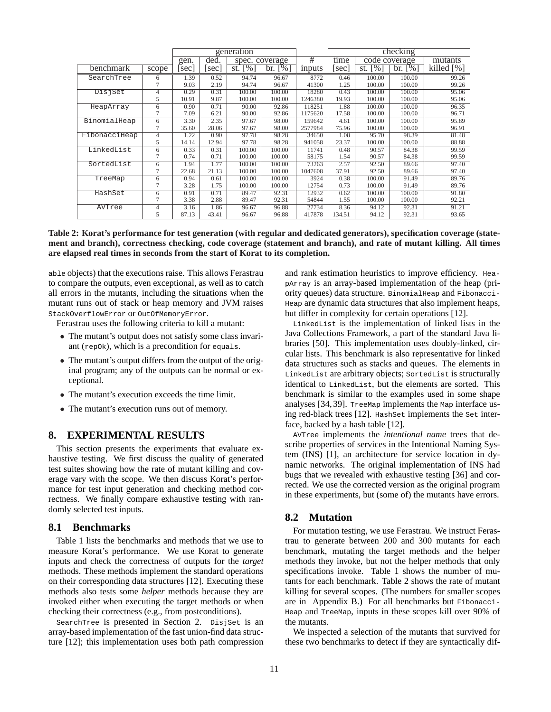|               |                | generation |       |                      |                   | checking      |        |                |                   |               |
|---------------|----------------|------------|-------|----------------------|-------------------|---------------|--------|----------------|-------------------|---------------|
|               |                | gen.       | ded.  | spec. coverage       |                   | $^{\#}$       | time   | code coverage  |                   | mutants       |
| benchmark     | scope          | sec        | sec   | $\frac{9}{6}$<br>st. | $\sqrt{6}$<br>br. | <i>inputs</i> | sec    | st. $\sqrt{8}$ | $\sqrt{6}$<br>br. | killed $[\%]$ |
| SearchTree    | 6              | 1.39       | 0.52  | 94.74                | 96.67             | 8772          | 0.46   | 100.00         | 100.00            | 99.26         |
|               |                | 9.03       | 2.19  | 94.74                | 96.67             | 41300         | 1.25   | 100.00         | 100.00            | 99.26         |
| DisjSet       | $\overline{4}$ | 0.29       | 0.31  | 100.00               | 100.00            | 18280         | 0.43   | 100.00         | 100.00            | 95.06         |
|               | 5              | 10.91      | 9.87  | 100.00               | 100.00            | 1246380       | 19.93  | 100.00         | 100.00            | 95.06         |
| HeapArray     | 6              | 0.90       | 0.71  | 90.00                | 92.86             | 118251        | 1.88   | 100.00         | 100.00            | 96.35         |
|               | 7              | 7.09       | 6.21  | 90.00                | 92.86             | 1175620       | 17.58  | 100.00         | 100.00            | 96.71         |
| BinomialHeap  | 6              | 3.30       | 2.35  | 97.67                | 98.00             | 159642        | 4.61   | 100.00         | 100.00            | 95.89         |
|               |                | 35.60      | 28.06 | 97.67                | 98.00             | 2577984       | 75.96  | 100.00         | 100.00            | 96.91         |
| FibonacciHeap | $\overline{4}$ | 1.22       | 0.90  | 97.78                | 98.28             | 34650         | 1.08   | 95.70          | 98.39             | 81.48         |
|               | 5              | 14.14      | 12.94 | 97.78                | 98.28             | 941058        | 23.37  | 100.00         | 100.00            | 88.88         |
| LinkedList    | 6              | 0.33       | 0.31  | 100.00               | 100.00            | 11741         | 0.48   | 90.57          | 84.38             | 99.59         |
|               |                | 0.74       | 0.71  | 100.00               | 100.00            | 58175         | 1.54   | 90.57          | 84.38             | 99.59         |
| SortedList    | 6              | 1.94       | 1.77  | 100.00               | 100.00            | 73263         | 2.57   | 92.50          | 89.66             | 97.40         |
|               |                | 22.68      | 21.13 | 100.00               | 100.00            | 1047608       | 37.91  | 92.50          | 89.66             | 97.40         |
| TreeMap       | 6              | 0.94       | 0.61  | 100.00               | 100.00            | 3924          | 0.38   | 100.00         | 91.49             | 89.76         |
|               |                | 3.28       | 1.75  | 100.00               | 100.00            | 12754         | 0.73   | 100.00         | 91.49             | 89.76         |
| HashSet       | 6              | 0.91       | 0.71  | 89.47                | 92.31             | 12932         | 0.62   | 100.00         | 100.00            | 91.80         |
|               |                | 3.38       | 2.88  | 89.47                | 92.31             | 54844         | 1.55   | 100.00         | 100.00            | 92.21         |
| AVTree        | $\overline{4}$ | 3.16       | 1.86  | 96.67                | 96.88             | 27734         | 8.36   | 94.12          | 92.31             | 91.21         |
|               | 5              | 87.13      | 43.41 | 96.67                | 96.88             | 417878        | 134.51 | 94.12          | 92.31             | 93.65         |

**Table 2: Korat's performance for test generation (with regular and dedicated generators), specification coverage (statement and branch), correctness checking, code coverage (statement and branch), and rate of mutant killing. All times are elapsed real times in seconds from the start of Korat to its completion.**

able objects) that the executions raise. This allows Ferastrau to compare the outputs, even exceptional, as well as to catch all errors in the mutants, including the situations when the mutant runs out of stack or heap memory and JVM raises StackOverflowError or OutOfMemoryError.

Ferastrau uses the following criteria to kill a mutant:

- The mutant's output does not satisfy some class invariant (repOk), which is a precondition for equals.
- The mutant's output differs from the output of the original program; any of the outputs can be normal or exceptional.
- The mutant's execution exceeds the time limit.
- The mutant's execution runs out of memory.

## **8. EXPERIMENTAL RESULTS**

This section presents the experiments that evaluate exhaustive testing. We first discuss the quality of generated test suites showing how the rate of mutant killing and coverage vary with the scope. We then discuss Korat's performance for test input generation and checking method correctness. We finally compare exhaustive testing with randomly selected test inputs.

#### **8.1 Benchmarks**

Table 1 lists the benchmarks and methods that we use to measure Korat's performance. We use Korat to generate inputs and check the correctness of outputs for the *target* methods. These methods implement the standard operations on their corresponding data structures [12]. Executing these methods also tests some *helper* methods because they are invoked either when executing the target methods or when checking their correctness (e.g., from postconditions).

SearchTree is presented in Section 2. DisjSet is an array-based implementation of the fast union-find data structure [12]; this implementation uses both path compression and rank estimation heuristics to improve efficiency. HeapArray is an array-based implementation of the heap (priority queues) data structure. BinomialHeap and Fibonacci-Heap are dynamic data structures that also implement heaps, but differ in complexity for certain operations [12].

LinkedList is the implementation of linked lists in the Java Collections Framework, a part of the standard Java libraries [50]. This implementation uses doubly-linked, circular lists. This benchmark is also representative for linked data structures such as stacks and queues. The elements in LinkedList are arbitrary objects; SortedList is structurally identical to LinkedList, but the elements are sorted. This benchmark is similar to the examples used in some shape analyses [34, 39]. TreeMap implements the Map interface using red-black trees [12]. HashSet implements the Set interface, backed by a hash table [12].

AVTree implements the *intentional name* trees that describe properties of services in the Intentional Naming System (INS) [1], an architecture for service location in dynamic networks. The original implementation of INS had bugs that we revealed with exhaustive testing [36] and corrected. We use the corrected version as the original program in these experiments, but (some of) the mutants have errors.

#### **8.2 Mutation**

For mutation testing, we use Ferastrau. We instruct Ferastrau to generate between 200 and 300 mutants for each benchmark, mutating the target methods and the helper methods they invoke, but not the helper methods that only specifications invoke. Table 1 shows the number of mutants for each benchmark. Table 2 shows the rate of mutant killing for several scopes. (The numbers for smaller scopes are in Appendix B.) For all benchmarks but Fibonacci-Heap and TreeMap, inputs in these scopes kill over 90% of the mutants.

We inspected a selection of the mutants that survived for these two benchmarks to detect if they are syntactically dif-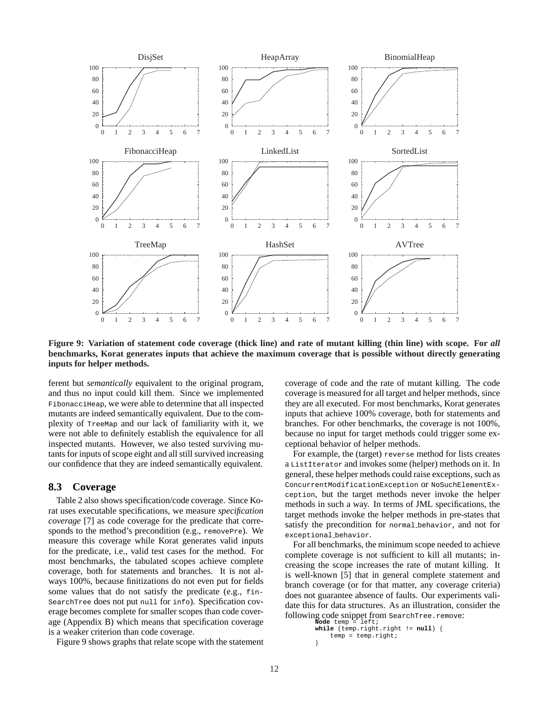

**Figure 9: Variation of statement code coverage (thick line) and rate of mutant killing (thin line) with scope. For** *all* **benchmarks, Korat generates inputs that achieve the maximum coverage that is possible without directly generating inputs for helper methods.**

ferent but *semantically* equivalent to the original program, and thus no input could kill them. Since we implemented FibonacciHeap, we were able to determine that all inspected mutants are indeed semantically equivalent. Due to the complexity of TreeMap and our lack of familiarity with it, we were not able to definitely establish the equivalence for all inspected mutants. However, we also tested surviving mutants for inputs of scope eight and all still survived increasing our confidence that they are indeed semantically equivalent.

## **8.3 Coverage**

Table 2 also shows specification/code coverage. Since Korat uses executable specifications, we measure *specification coverage* [7] as code coverage for the predicate that corresponds to the method's precondition (e.g., removePre). We measure this coverage while Korat generates valid inputs for the predicate, i.e., valid test cases for the method. For most benchmarks, the tabulated scopes achieve complete coverage, both for statements and branches. It is not always 100%, because finitizations do not even put for fields some values that do not satisfy the predicate (e.g., fin-SearchTree does not put null for info). Specification coverage becomes complete for smaller scopes than code coverage (Appendix B) which means that specification coverage is a weaker criterion than code coverage.

Figure 9 shows graphs that relate scope with the statement

coverage of code and the rate of mutant killing. The code coverage is measured for all target and helper methods, since they are all executed. For most benchmarks, Korat generates inputs that achieve 100% coverage, both for statements and branches. For other benchmarks, the coverage is not 100%, because no input for target methods could trigger some exceptional behavior of helper methods.

For example, the (target) reverse method for lists creates a ListIterator and invokes some (helper) methods on it. In general, these helper methods could raise exceptions, such as ConcurrentModificationException or NoSuchElementException, but the target methods never invoke the helper methods in such a way. In terms of JML specifications, the target methods invoke the helper methods in pre-states that satisfy the precondition for normal behavior, and not for exceptional behavior.

For all benchmarks, the minimum scope needed to achieve complete coverage is not sufficient to kill all mutants; increasing the scope increases the rate of mutant killing. It is well-known [5] that in general complete statement and branch coverage (or for that matter, any coverage criteria) does not guarantee absence of faults. Our experiments validate this for data structures. As an illustration, consider the following code snippet from SearchTree.remove: **Node** temp = left;

```
while (temp.right.right != null) {
    temp = temp.right;
}
```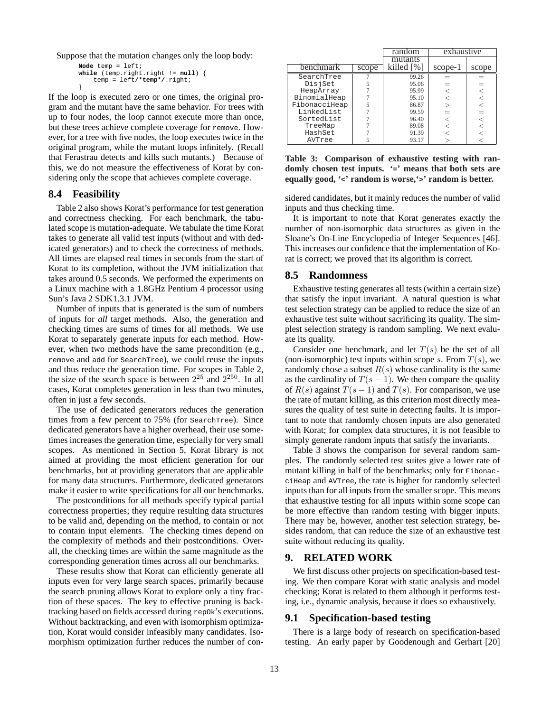Suppose that the mutation changes only the loop body:

```
Node temp = left;
while (temp.right.right != null) {
    temp = left/*temp*/.right;
}
```
If the loop is executed zero or one times, the original program and the mutant have the same behavior. For trees with up to four nodes, the loop cannot execute more than once, but these trees achieve complete coverage for remove. However, for a tree with five nodes, the loop executes twice in the original program, while the mutant loops infinitely. (Recall that Ferastrau detects and kills such mutants.) Because of this, we do not measure the effectiveness of Korat by considering only the scope that achieves complete coverage.

#### **8.4 Feasibility**

Table 2 also shows Korat's performance for test generation and correctness checking. For each benchmark, the tabulated scope is mutation-adequate. We tabulate the time Korat takes to generate all valid test inputs (without and with dedicated generators) and to check the correctness of methods. All times are elapsed real times in seconds from the start of Korat to its completion, without the JVM initialization that takes around 0.5 seconds. We performed the experiments on a Linux machine with a 1.8GHz Pentium 4 processor using Sun's Java 2 SDK1.3.1 JVM.

Number of inputs that is generated is the sum of numbers of inputs for *all* target methods. Also, the generation and checking times are sums of times for all methods. We use Korat to separately generate inputs for each method. However, when two methods have the same precondition (e.g., remove and add for SearchTree), we could reuse the inputs and thus reduce the generation time. For scopes in Table 2, the size of the search space is between  $2^{25}$  and  $2^{250}$ . In all cases, Korat completes generation in less than two minutes, often in just a few seconds.

The use of dedicated generators reduces the generation times from a few percent to 75% (for SearchTree). Since dedicated generators have a higher overhead, their use sometimes increases the generation time, especially for very small scopes. As mentioned in Section 5, Korat library is not aimed at providing the most efficient generation for our benchmarks, but at providing generators that are applicable for many data structures. Furthermore, dedicated generators make it easier to write specifications for all our benchmarks.

The postconditions for all methods specify typical partial correctness properties; they require resulting data structures to be valid and, depending on the method, to contain or not to contain input elements. The checking times depend on the complexity of methods and their postconditions. Overall, the checking times are within the same magnitude as the corresponding generation times across all our benchmarks.

These results show that Korat can efficiently generate all inputs even for very large search spaces, primarily because the search pruning allows Korat to explore only a tiny fraction of these spaces. The key to effective pruning is backtracking based on fields accessed during repOk's executions. Without backtracking, and even with isomorphism optimization, Korat would consider infeasibly many candidates. Isomorphism optimization further reduces the number of con-

|               |       | random     | exhaustive |       |
|---------------|-------|------------|------------|-------|
|               |       | mutants    |            |       |
| benchmark     | scope | killed [%] | scope-1    | scope |
| SearchTree    |       | 99.26      |            |       |
| DisjSet       |       | 95.06      |            |       |
| HeapArray     |       | 95.99      |            |       |
| BinomialHeap  |       | 95.10      |            |       |
| FibonacciHeap |       | 86.87      |            |       |
| LinkedList    |       | 99.59      |            |       |
| SortedList    |       | 96.40      |            |       |
| TreeMap       |       | 89.08      |            |       |
| HashSet       |       | 91.39      |            |       |
| AVTree        |       | 93.17      |            |       |

**Table 3: Comparison of exhaustive testing with randomly chosen test inputs. '=' means that both sets are equally good, '<' random is worse,'>' random is better.**

sidered candidates, but it mainly reduces the number of valid inputs and thus checking time.

It is important to note that Korat generates exactly the number of non-isomorphic data structures as given in the Sloane's On-Line Encyclopedia of Integer Sequences [46]. This increases our confidence that the implementation of Korat is correct; we proved that its algorithm is correct.

#### **8.5 Randomness**

Exhaustive testing generates all tests (within a certain size) that satisfy the input invariant. A natural question is what test selection strategy can be applied to reduce the size of an exhaustive test suite without sacrificing its quality. The simplest selection strategy is random sampling. We next evaluate its quality.

Consider one benchmark, and let  $T(s)$  be the set of all (non-isomorphic) test inputs within scope s. From  $T(s)$ , we randomly chose a subset  $R(s)$  whose cardinality is the same as the cardinality of  $T(s - 1)$ . We then compare the quality of  $R(s)$  against  $T(s - 1)$  and  $T(s)$ . For comparison, we use the rate of mutant killing, as this criterion most directly measures the quality of test suite in detecting faults. It is important to note that randomly chosen inputs are also generated with Korat; for complex data structures, it is not feasible to simply generate random inputs that satisfy the invariants.

Table 3 shows the comparison for several random samples. The randomly selected test suites give a lower rate of mutant killing in half of the benchmarks; only for FibonacciHeap and AVTree, the rate is higher for randomly selected inputs than for all inputs from the smaller scope. This means that exhaustive testing for all inputs within some scope can be more effective than random testing with bigger inputs. There may be, however, another test selection strategy, besides random, that can reduce the size of an exhaustive test suite without reducing its quality.

#### **9. RELATED WORK**

We first discuss other projects on specification-based testing. We then compare Korat with static analysis and model checking; Korat is related to them although it performs testing, i.e., dynamic analysis, because it does so exhaustively.

#### **9.1 Specification-based testing**

There is a large body of research on specification-based testing. An early paper by Goodenough and Gerhart [20]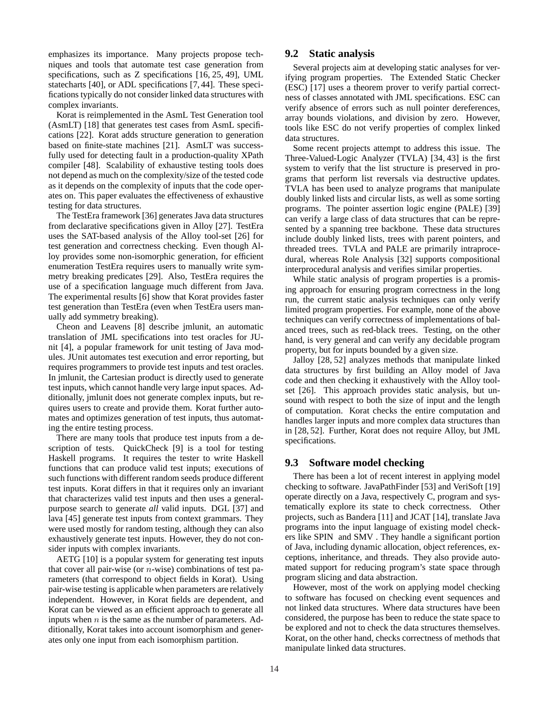emphasizes its importance. Many projects propose techniques and tools that automate test case generation from specifications, such as Z specifications [16, 25, 49], UML statecharts [40], or ADL specifications [7, 44]. These specifications typically do not consider linked data structures with complex invariants.

Korat is reimplemented in the AsmL Test Generation tool (AsmLT) [18] that generates test cases from AsmL specifications [22]. Korat adds structure generation to generation based on finite-state machines [21]. AsmLT was successfully used for detecting fault in a production-quality XPath compiler [48]. Scalability of exhaustive testing tools does not depend as much on the complexity/size of the tested code as it depends on the complexity of inputs that the code operates on. This paper evaluates the effectiveness of exhaustive testing for data structures.

The TestEra framework [36] generates Java data structures from declarative specifications given in Alloy [27]. TestEra uses the SAT-based analysis of the Alloy tool-set [26] for test generation and correctness checking. Even though Alloy provides some non-isomorphic generation, for efficient enumeration TestEra requires users to manually write symmetry breaking predicates [29]. Also, TestEra requires the use of a specification language much different from Java. The experimental results [6] show that Korat provides faster test generation than TestEra (even when TestEra users manually add symmetry breaking).

Cheon and Leavens [8] describe jmlunit, an automatic translation of JML specifications into test oracles for JUnit [4], a popular framework for unit testing of Java modules. JUnit automates test execution and error reporting, but requires programmers to provide test inputs and test oracles. In jmlunit, the Cartesian product is directly used to generate test inputs, which cannot handle very large input spaces. Additionally, jmlunit does not generate complex inputs, but requires users to create and provide them. Korat further automates and optimizes generation of test inputs, thus automating the entire testing process.

There are many tools that produce test inputs from a description of tests. QuickCheck [9] is a tool for testing Haskell programs. It requires the tester to write Haskell functions that can produce valid test inputs; executions of such functions with different random seeds produce different test inputs. Korat differs in that it requires only an invariant that characterizes valid test inputs and then uses a generalpurpose search to generate *all* valid inputs. DGL [37] and lava [45] generate test inputs from context grammars. They were used mostly for random testing, although they can also exhaustively generate test inputs. However, they do not consider inputs with complex invariants.

AETG [10] is a popular system for generating test inputs that cover all pair-wise (or  $n$ -wise) combinations of test parameters (that correspond to object fields in Korat). Using pair-wise testing is applicable when parameters are relatively independent. However, in Korat fields are dependent, and Korat can be viewed as an efficient approach to generate all inputs when  $n$  is the same as the number of parameters. Additionally, Korat takes into account isomorphism and generates only one input from each isomorphism partition.

Several projects aim at developing static analyses for verifying program properties. The Extended Static Checker (ESC) [17] uses a theorem prover to verify partial correctness of classes annotated with JML specifications. ESC can verify absence of errors such as null pointer dereferences, array bounds violations, and division by zero. However, tools like ESC do not verify properties of complex linked data structures.

Some recent projects attempt to address this issue. The Three-Valued-Logic Analyzer (TVLA) [34, 43] is the first system to verify that the list structure is preserved in programs that perform list reversals via destructive updates. TVLA has been used to analyze programs that manipulate doubly linked lists and circular lists, as well as some sorting programs. The pointer assertion logic engine (PALE) [39] can verify a large class of data structures that can be represented by a spanning tree backbone. These data structures include doubly linked lists, trees with parent pointers, and threaded trees. TVLA and PALE are primarily intraprocedural, whereas Role Analysis [32] supports compositional interprocedural analysis and verifies similar properties.

While static analysis of program properties is a promising approach for ensuring program correctness in the long run, the current static analysis techniques can only verify limited program properties. For example, none of the above techniques can verify correctness of implementations of balanced trees, such as red-black trees. Testing, on the other hand, is very general and can verify any decidable program property, but for inputs bounded by a given size.

Jalloy [28, 52] analyzes methods that manipulate linked data structures by first building an Alloy model of Java code and then checking it exhaustively with the Alloy toolset [26]. This approach provides static analysis, but unsound with respect to both the size of input and the length of computation. Korat checks the entire computation and handles larger inputs and more complex data structures than in [28, 52]. Further, Korat does not require Alloy, but JML specifications.

#### **9.3 Software model checking**

There has been a lot of recent interest in applying model checking to software. JavaPathFinder [53] and VeriSoft [19] operate directly on a Java, respectively C, program and systematically explore its state to check correctness. Other projects, such as Bandera [11] and JCAT [14], translate Java programs into the input language of existing model checkers like SPIN and SMV . They handle a significant portion of Java, including dynamic allocation, object references, exceptions, inheritance, and threads. They also provide automated support for reducing program's state space through program slicing and data abstraction.

However, most of the work on applying model checking to software has focused on checking event sequences and not linked data structures. Where data structures have been considered, the purpose has been to reduce the state space to be explored and not to check the data structures themselves. Korat, on the other hand, checks correctness of methods that manipulate linked data structures.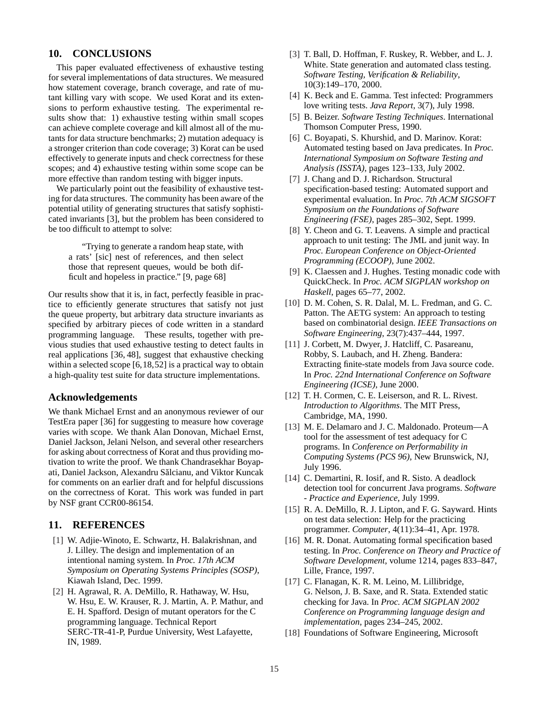## **10. CONCLUSIONS**

This paper evaluated effectiveness of exhaustive testing for several implementations of data structures. We measured how statement coverage, branch coverage, and rate of mutant killing vary with scope. We used Korat and its extensions to perform exhaustive testing. The experimental results show that: 1) exhaustive testing within small scopes can achieve complete coverage and kill almost all of the mutants for data structure benchmarks; 2) mutation adequacy is a stronger criterion than code coverage; 3) Korat can be used effectively to generate inputs and check correctness for these scopes; and 4) exhaustive testing within some scope can be more effective than random testing with bigger inputs.

We particularly point out the feasibility of exhaustive testing for data structures. The community has been aware of the potential utility of generating structures that satisfy sophisticated invariants [3], but the problem has been considered to be too difficult to attempt to solve:

"Trying to generate a random heap state, with a rats' [sic] nest of references, and then select those that represent queues, would be both difficult and hopeless in practice." [9, page 68]

Our results show that it is, in fact, perfectly feasible in practice to efficiently generate structures that satisfy not just the queue property, but arbitrary data structure invariants as specified by arbitrary pieces of code written in a standard programming language. These results, together with previous studies that used exhaustive testing to detect faults in real applications [36, 48], suggest that exhaustive checking within a selected scope [6,18,52] is a practical way to obtain a high-quality test suite for data structure implementations.

#### **Acknowledgements**

We thank Michael Ernst and an anonymous reviewer of our TestEra paper [36] for suggesting to measure how coverage varies with scope. We thank Alan Donovan, Michael Ernst, Daniel Jackson, Jelani Nelson, and several other researchers for asking about correctness of Korat and thus providing motivation to write the proof. We thank Chandrasekhar Boyapati, Daniel Jackson, Alexandru Salcianu, and Viktor Kuncak ˘ for comments on an earlier draft and for helpful discussions on the correctness of Korat. This work was funded in part by NSF grant CCR00-86154.

## **11. REFERENCES**

- [1] W. Adjie-Winoto, E. Schwartz, H. Balakrishnan, and J. Lilley. The design and implementation of an intentional naming system. In *Proc. 17th ACM Symposium on Operating Systems Principles (SOSP)*, Kiawah Island, Dec. 1999.
- [2] H. Agrawal, R. A. DeMillo, R. Hathaway, W. Hsu, W. Hsu, E. W. Krauser, R. J. Martin, A. P. Mathur, and E. H. Spafford. Design of mutant operators for the C programming language. Technical Report SERC-TR-41-P, Purdue University, West Lafayette, IN, 1989.
- [3] T. Ball, D. Hoffman, F. Ruskey, R. Webber, and L. J. White. State generation and automated class testing. *Software Testing, Verification & Reliability*, 10(3):149–170, 2000.
- [4] K. Beck and E. Gamma. Test infected: Programmers love writing tests. *Java Report*, 3(7), July 1998.
- [5] B. Beizer. *Software Testing Techniques*. International Thomson Computer Press, 1990.
- [6] C. Boyapati, S. Khurshid, and D. Marinov. Korat: Automated testing based on Java predicates. In *Proc. International Symposium on Software Testing and Analysis (ISSTA)*, pages 123–133, July 2002.
- [7] J. Chang and D. J. Richardson. Structural specification-based testing: Automated support and experimental evaluation. In *Proc. 7th ACM SIGSOFT Symposium on the Foundations of Software Engineering (FSE)*, pages 285–302, Sept. 1999.
- [8] Y. Cheon and G. T. Leavens. A simple and practical approach to unit testing: The JML and junit way. In *Proc. European Conference on Object-Oriented Programming (ECOOP)*, June 2002.
- [9] K. Claessen and J. Hughes. Testing monadic code with QuickCheck. In *Proc. ACM SIGPLAN workshop on Haskell*, pages 65–77, 2002.
- [10] D. M. Cohen, S. R. Dalal, M. L. Fredman, and G. C. Patton. The AETG system: An approach to testing based on combinatorial design. *IEEE Transactions on Software Engineering*, 23(7):437–444, 1997.
- [11] J. Corbett, M. Dwyer, J. Hatcliff, C. Pasareanu, Robby, S. Laubach, and H. Zheng. Bandera: Extracting finite-state models from Java source code. In *Proc. 22nd International Conference on Software Engineering (ICSE)*, June 2000.
- [12] T. H. Cormen, C. E. Leiserson, and R. L. Rivest. *Introduction to Algorithms*. The MIT Press, Cambridge, MA, 1990.
- [13] M. E. Delamaro and J. C. Maldonado. Proteum- $A$ tool for the assessment of test adequacy for C programs. In *Conference on Performability in Computing Systems (PCS 96)*, New Brunswick, NJ, July 1996.
- [14] C. Demartini, R. Iosif, and R. Sisto. A deadlock detection tool for concurrent Java programs. *Software - Practice and Experience*, July 1999.
- [15] R. A. DeMillo, R. J. Lipton, and F. G. Sayward. Hints on test data selection: Help for the practicing programmer. *Computer*, 4(11):34–41, Apr. 1978.
- [16] M. R. Donat. Automating formal specification based testing. In *Proc. Conference on Theory and Practice of Software Development*, volume 1214, pages 833–847, Lille, France, 1997.
- [17] C. Flanagan, K. R. M. Leino, M. Lillibridge, G. Nelson, J. B. Saxe, and R. Stata. Extended static checking for Java. In *Proc. ACM SIGPLAN 2002 Conference on Programming language design and implementation*, pages 234–245, 2002.
- [18] Foundations of Software Engineering, Microsoft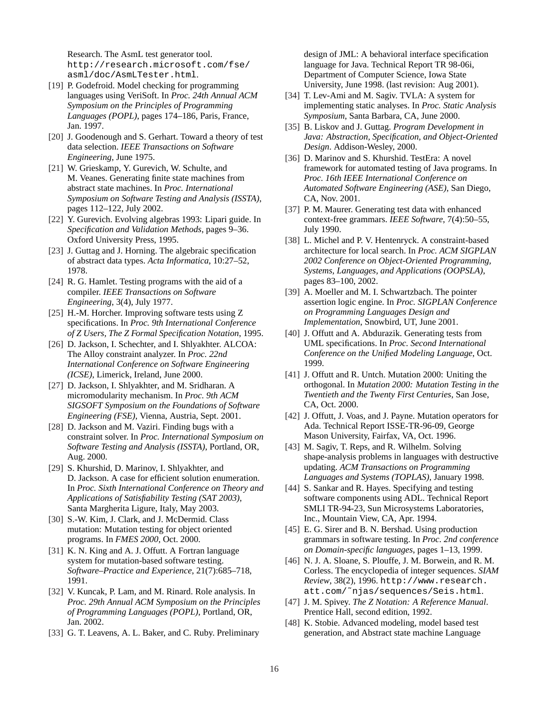Research. The AsmL test generator tool. http://research.microsoft.com/fse/ asml/doc/AsmLTester.html.

- [19] P. Godefroid. Model checking for programming languages using VeriSoft. In *Proc. 24th Annual ACM Symposium on the Principles of Programming Languages (POPL)*, pages 174–186, Paris, France, Jan. 1997.
- [20] J. Goodenough and S. Gerhart. Toward a theory of test data selection. *IEEE Transactions on Software Engineering*, June 1975.
- [21] W. Grieskamp, Y. Gurevich, W. Schulte, and M. Veanes. Generating finite state machines from abstract state machines. In *Proc. International Symposium on Software Testing and Analysis (ISSTA)*, pages 112–122, July 2002.
- [22] Y. Gurevich. Evolving algebras 1993: Lipari guide. In *Specification and Validation Methods*, pages 9–36. Oxford University Press, 1995.
- [23] J. Guttag and J. Horning. The algebraic specification of abstract data types. *Acta Informatica*, 10:27–52, 1978.
- [24] R. G. Hamlet. Testing programs with the aid of a compiler. *IEEE Transactions on Software Engineering*, 3(4), July 1977.
- [25] H.-M. Horcher. Improving software tests using Z specifications. In *Proc. 9th International Conference of Z Users, The Z Formal Specification Notation*, 1995.
- [26] D. Jackson, I. Schechter, and I. Shlyakhter. ALCOA: The Alloy constraint analyzer. In *Proc. 22nd International Conference on Software Engineering (ICSE)*, Limerick, Ireland, June 2000.
- [27] D. Jackson, I. Shlyakhter, and M. Sridharan. A micromodularity mechanism. In *Proc. 9th ACM SIGSOFT Symposium on the Foundations of Software Engineering (FSE)*, Vienna, Austria, Sept. 2001.
- [28] D. Jackson and M. Vaziri. Finding bugs with a constraint solver. In *Proc. International Symposium on Software Testing and Analysis (ISSTA)*, Portland, OR, Aug. 2000.
- [29] S. Khurshid, D. Marinov, I. Shlyakhter, and D. Jackson. A case for efficient solution enumeration. In *Proc. Sixth International Conference on Theory and Applications of Satisfiability Testing (SAT 2003)*, Santa Margherita Ligure, Italy, May 2003.
- [30] S.-W. Kim, J. Clark, and J. McDermid. Class mutation: Mutation testing for object oriented programs. In *FMES 2000*, Oct. 2000.
- [31] K. N. King and A. J. Offutt. A Fortran language system for mutation-based software testing. *Software–Practice and Experience*, 21(7):685–718, 1991.
- [32] V. Kuncak, P. Lam, and M. Rinard. Role analysis. In *Proc. 29th Annual ACM Symposium on the Principles of Programming Languages (POPL)*, Portland, OR, Jan. 2002.
- [33] G. T. Leavens, A. L. Baker, and C. Ruby. Preliminary

design of JML: A behavioral interface specification language for Java. Technical Report TR 98-06i, Department of Computer Science, Iowa State University, June 1998. (last revision: Aug 2001).

- [34] T. Lev-Ami and M. Sagiv. TVLA: A system for implementing static analyses. In *Proc. Static Analysis Symposium*, Santa Barbara, CA, June 2000.
- [35] B. Liskov and J. Guttag. *Program Development in Java: Abstraction, Specification, and Object-Oriented Design*. Addison-Wesley, 2000.
- [36] D. Marinov and S. Khurshid. TestEra: A novel framework for automated testing of Java programs. In *Proc. 16th IEEE International Conference on Automated Software Engineering (ASE)*, San Diego, CA, Nov. 2001.
- [37] P. M. Maurer. Generating test data with enhanced context-free grammars. *IEEE Software*, 7(4):50–55, July 1990.
- [38] L. Michel and P. V. Hentenryck. A constraint-based architecture for local search. In *Proc. ACM SIGPLAN 2002 Conference on Object-Oriented Programming, Systems, Languages, and Applications (OOPSLA)*, pages 83–100, 2002.
- [39] A. Moeller and M. I. Schwartzbach. The pointer assertion logic engine. In *Proc. SIGPLAN Conference on Programming Languages Design and Implementation*, Snowbird, UT, June 2001.
- [40] J. Offutt and A. Abdurazik. Generating tests from UML specifications. In *Proc. Second International Conference on the Unified Modeling Language*, Oct. 1999.
- [41] J. Offutt and R. Untch. Mutation 2000: Uniting the orthogonal. In *Mutation 2000: Mutation Testing in the Twentieth and the Twenty First Centuries*, San Jose, CA, Oct. 2000.
- [42] J. Offutt, J. Voas, and J. Payne. Mutation operators for Ada. Technical Report ISSE-TR-96-09, George Mason University, Fairfax, VA, Oct. 1996.
- [43] M. Sagiv, T. Reps, and R. Wilhelm. Solving shape-analysis problems in languages with destructive updating. *ACM Transactions on Programming Languages and Systems (TOPLAS)*, January 1998.
- [44] S. Sankar and R. Hayes. Specifying and testing software components using ADL. Technical Report SMLI TR-94-23, Sun Microsystems Laboratories, Inc., Mountain View, CA, Apr. 1994.
- [45] E. G. Sirer and B. N. Bershad. Using production grammars in software testing. In *Proc. 2nd conference on Domain-specific languages*, pages 1–13, 1999.
- [46] N. J. A. Sloane, S. Plouffe, J. M. Borwein, and R. M. Corless. The encyclopedia of integer sequences. *SIAM Review*, 38(2), 1996. http://www.research. att.com/˜njas/sequences/Seis.html.
- [47] J. M. Spivey. *The Z Notation: A Reference Manual*. Prentice Hall, second edition, 1992.
- [48] K. Stobie. Advanced modeling, model based test generation, and Abstract state machine Language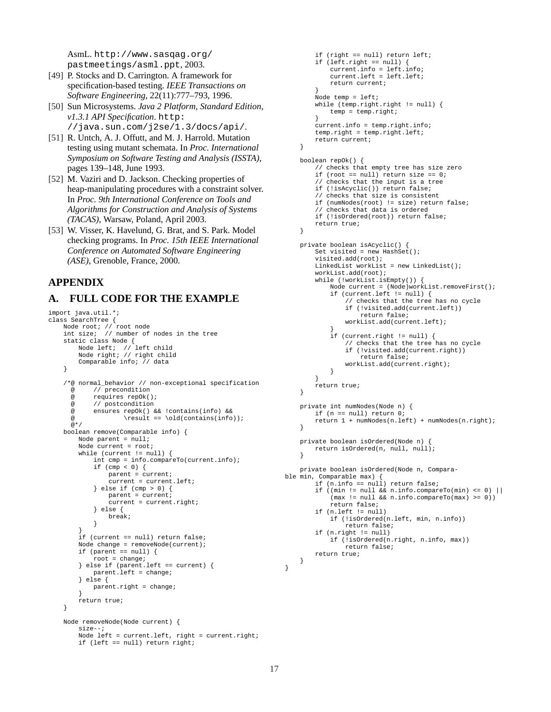AsmL. http://www.sasqag.org/ pastmeetings/asml.ppt, 2003.

- [49] P. Stocks and D. Carrington. A framework for specification-based testing. *IEEE Transactions on Software Engineering*, 22(11):777–793, 1996.
- [50] Sun Microsystems. *Java 2 Platform, Standard Edition, v1.3.1 API Specification*. http: //java.sun.com/j2se/1.3/docs/api/.
- [51] R. Untch, A. J. Offutt, and M. J. Harrold. Mutation testing using mutant schemata. In *Proc. International Symposium on Software Testing and Analysis (ISSTA)*, pages 139–148, June 1993.
- [52] M. Vaziri and D. Jackson. Checking properties of heap-manipulating procedures with a constraint solver. In *Proc. 9th International Conference on Tools and Algorithms for Construction and Analysis of Systems (TACAS)*, Warsaw, Poland, April 2003.
- [53] W. Visser, K. Havelund, G. Brat, and S. Park. Model checking programs. In *Proc. 15th IEEE International Conference on Automated Software Engineering (ASE)*, Grenoble, France, 2000.

# **APPENDIX**

# **A. FULL CODE FOR THE EXAMPLE**

```
import java.util.*;
class SearchTree {
    Node root; // root node
int size; // number of nodes in the tree
    static class Node {
         Node left; // left child
Node right; // right child
        Comparable info; // data
    }
    /*@ normal_behavior // non-exceptional specification
      @ // precondition
      @ requires repOk();<br>@ // postcondition
             // postcondition
      @ ensures repOk() && !contains(info) &&
      \textcircled{ } \result == \old(contains(info));
      @*/
    boolean remove(Comparable info) {
        Node parent = null;
        Node current = root;
        while (current != null) {
             int cmp = info.compareTo(current.info);
             if (\text{cmp} < 0) {
                 parent = current;
                 current = current.left;
             } else if (cmp > 0) {
                 parent = current;
                 current = current.right;
             } else {
                 break;
             }
         }
if (current == null) return false;
        Node change = removeNode(current);
        if (parent == null) {
             root = change;
         } else if (parent.left == current) {
             parent. left = change;
        } else {
             parent.right = change;
         }
        return true;
    }
    Node removeNode(Node current) {
        size--;
        Node left = current.left, right = current.right;
        if (left == null) return right;
```

```
if (right == null) return left;
        if (left.right == null) {
            current.info = left.info;
            current.left = left.left;
            return current;
        }
Node temp = left;
        while (temp.right.right != null) {
            temp = temp.right;}
current.info = temp.right.info;
        temp.right = temp.right.left;return current;
    }
    boolean repOk() {
        // checks that empty tree has size zero
        if (root == null) return size == 0;
        // checks that the input is a tree
        if (!isAcyclic()) return false;
        // checks that size is consistent
        if (numNodes(root) != size) return false;
        // checks that data is ordered
        if (!isOrdered(root)) return false;
        return true;
    }
    private boolean isAcyclic() {
        Set visited = new HashSet();
        visited.add(root);
        LinkedList workList = new LinkedList();
        workList.add(root);
        while (!workList.isEmpty()) {
            Node current = (Node)workList.removeFirst();
            if (current.left != null) {
                // checks that the tree has no cycle
                if (!visited.add(current.left))
                    return false;
                workList.add(current.left);
            }
            if (current.right != null) {
                // checks that the tree has no cycle
                if (!visited.add(current.right))
                    return false;
                workList.add(current.right);
            }
        }
        return true;
    }
    private int numNodes(Node n) {
        if (n == null) return 0;
        return 1 + numNodes(n.left) + numNodes(n.right);
    }
    private boolean isOrdered(Node n) {
        return isOrdered(n, null, null);
    }
    private boolean isOrdered(Node n, Compara-
ble min, Comparable max) {
        if (n.info == null) return false;
        if ((min != null && n.info.compareTo(min) <= 0) ||(max != null && n.info.compareTo(max) >= 0))
            return false;
        if (n.left != null)
            if (!isOrdered(n.left, min, n.info))
                return false;
        if (n.right != null)
            if (!isOrdered(n.right, n.info, max))
                return false;
        return true;
    }
```
}